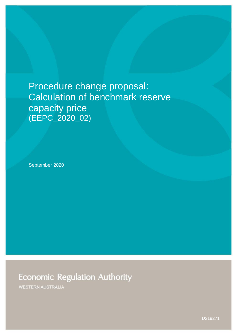# Procedure change proposal: Calculation of benchmark reserve capacity price (EEPC\_2020\_02)

September 2020

**Economic Regulation Authority** 

**WESTERN AUSTRALIA** 

D219271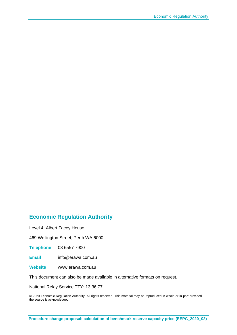### **Economic Regulation Authority**

Level 4, Albert Facey House

469 Wellington Street, Perth WA 6000

**Telephone** 08 6557 7900

**Email** info@erawa.com.au

**Website** www.erawa.com.au

This document can also be made available in alternative formats on request.

National Relay Service TTY: 13 36 77

© 2020 Economic Regulation Authority. All rights reserved. This material may be reproduced in whole or in part provided the source is acknowledged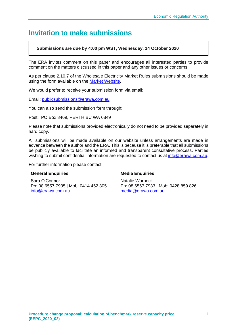# **Invitation to make submissions**

### **Submissions are due by 4:00 pm WST, Wednesday, 14 October 2020**

The ERA invites comment on this paper and encourages all interested parties to provide comment on the matters discussed in this paper and any other issues or concerns.

As per clause 2.10.7 of the Wholesale Electricity Market Rules submissions should be made using the form available on the [Market Website.](https://aemo.com.au/-/media/files/electricity/wem/procedures/wem-procedure-change-submission-form.dotx?la=en&hash=EE26104FF154AC4A2AF97E51BF59905B)

We would prefer to receive your submission form via email:

Email: [publicsubmissions@erawa.com.au](mailto:publicsubmissions@erawa.com.au)

You can also send the submission form through:

Post: PO Box 8469, PERTH BC WA 6849

Please note that submissions provided electronically do not need to be provided separately in hard copy.

All submissions will be made available on our website unless arrangements are made in advance between the author and the ERA. This is because it is preferable that all submissions be publicly available to facilitate an informed and transparent consultative process. Parties wishing to submit confidential information are requested to contact us at [info@erawa.com.au.](mailto:info@erawa.com.au)

For further information please contact

#### **General Enquiries**

Sara O'Connor Ph: 08 6557 7935 | Mob: 0414 452 305 [info@erawa.com.au](mailto:info@erawa.com.au)

#### **Media Enquiries**

Natalie Warnock Ph: 08 6557 7933 | Mob: 0428 859 826 [media@erawa.com.au](mailto:media@erawa.com.au)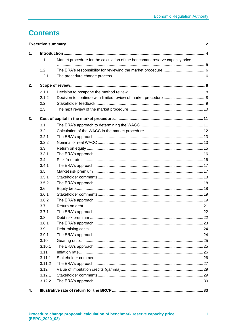# **Contents**

| $\mathbf 1$ . |        |                                                                              |  |  |  |
|---------------|--------|------------------------------------------------------------------------------|--|--|--|
|               | 1.1    | Market procedure for the calculation of the benchmark reserve capacity price |  |  |  |
|               | 1.2    |                                                                              |  |  |  |
|               | 1.2.1  |                                                                              |  |  |  |
| 2.            |        |                                                                              |  |  |  |
|               | 2.1.1  |                                                                              |  |  |  |
|               | 2.1.2  |                                                                              |  |  |  |
|               | 2.2    |                                                                              |  |  |  |
|               | 2.3    |                                                                              |  |  |  |
| 3.            |        |                                                                              |  |  |  |
|               | 3.1    |                                                                              |  |  |  |
|               | 3.2    |                                                                              |  |  |  |
|               | 3.2.1  |                                                                              |  |  |  |
|               | 3.2.2  |                                                                              |  |  |  |
|               | 3.3    |                                                                              |  |  |  |
|               | 3.3.1  |                                                                              |  |  |  |
|               | 3.4    |                                                                              |  |  |  |
|               | 3.4.1  |                                                                              |  |  |  |
|               | 3.5    |                                                                              |  |  |  |
|               | 3.5.1  |                                                                              |  |  |  |
|               | 3.5.2  |                                                                              |  |  |  |
|               | 3.6    |                                                                              |  |  |  |
|               | 3.6.1  |                                                                              |  |  |  |
|               | 3.6.2  |                                                                              |  |  |  |
|               | 3.7    |                                                                              |  |  |  |
|               | 3.7.1  |                                                                              |  |  |  |
|               | 3.8    |                                                                              |  |  |  |
|               | 3.8.1  |                                                                              |  |  |  |
|               | 3.9    |                                                                              |  |  |  |
|               | 3.9.1  |                                                                              |  |  |  |
|               | 3.10   |                                                                              |  |  |  |
|               | 3.10.1 |                                                                              |  |  |  |
|               | 3.11   |                                                                              |  |  |  |
|               | 3.11.1 |                                                                              |  |  |  |
|               | 3.11.2 |                                                                              |  |  |  |
|               | 3.12   |                                                                              |  |  |  |
|               | 3.12.1 |                                                                              |  |  |  |
|               | 3.12.2 |                                                                              |  |  |  |
| 4.            |        |                                                                              |  |  |  |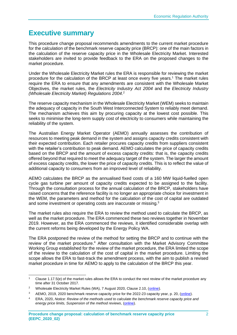# <span id="page-4-0"></span>**Executive summary**

This procedure change proposal recommends amendments to the current market procedure for the calculation of the benchmark reserve capacity price (BRCP): one of the main factors in the calculation of the reserve capacity price in the Wholesale Electricity Market. Interested stakeholders are invited to provide feedback to the ERA on the proposed changes to the market procedure.

Under the Wholesale Electricity Market rules the ERA is responsible for reviewing the market procedure for the calculation of the BRCP at least once every five years.<sup>1</sup> The market rules require the ERA to ensure that any amendments are consistent with the Wholesale Market Objectives, the market rules, the *Electricity Industry Act 2004* and the *Electricity Industry (Wholesale Electricity Market) Regulations 2004*. 2

The reserve capacity mechanism in the Wholesale Electricity Market (WEM) seeks to maintain the adequacy of capacity in the South West Interconnected System to reliably meet demand. The mechanism achieves this aim by procuring capacity at the lowest cost possible. This seeks to minimise the long-term supply cost of electricity to consumers while maintaining the reliability of the system.

The Australian Energy Market Operator (AEMO) annually assesses the contribution of resources to meeting peak demand in the system and assigns capacity credits consistent with their expected contribution. Each retailer procures capacity credits from suppliers consistent with the retailer's contribution to peak demand. AEMO calculates the price of capacity credits based on the BRCP and the amount of excess capacity credits: that is, the capacity credits offered beyond that required to meet the adequacy target of the system. The larger the amount of excess capacity credits, the lower the price of capacity credits. This is to reflect the value of additional capacity to consumers from an improved level of reliability.

AEMO calculates the BRCP as the annualised fixed costs of a 160 MW liquid-fuelled open cycle gas turbine per amount of capacity credits expected to be assigned to the facility. Through the consultation process for the annual calculation of the BRCP, stakeholders have raised concerns that the reference facility is no longer an appropriate choice for investment in the WEM, the parameters and method for the calculation of the cost of capital are outdated and some investment or operating costs are inaccurate or missing.<sup>3</sup>

The market rules also require the ERA to review the method used to calculate the BRCP, as well as the market procedure. The ERA commenced these two reviews together in November 2019. However, as the ERA commenced the reviews, it identified considerable overlap with the current reforms being developed by the Energy Policy WA.

The ERA postponed the review of the method for setting the BRCP and to continue with the review of the market procedure.<sup>4</sup> After consultation with the Market Advisory Committee Working Group established for the review of the market procedure, the ERA limited the scope of the review to the calculation of the cost of capital in the market procedure. Limiting the scope allows the ERA to fast-track the amendment process, with the aim to publish a revised market procedure in time for AEMO to apply to the calculation of the BRCP this year.

<sup>1</sup> Clause 1.17.5(e) of the market rules allows the ERA to conduct the next review of the market procedure any time after 31 October 2017.

<sup>&</sup>lt;sup>2</sup> Wholesale Electricity Market Rules (WA), 7 August 2020, Clause 2.10, [\(online\)](https://www.erawa.com.au/cproot/21394/2/Wholesale-Electricity-Market-Rules-7-August-2020.pdf).

<sup>&</sup>lt;sup>3</sup> AEMO, 2019, 2020 benchmark reserve capacity price for the 2022-23 capacity year, p. 20, [\(online\)](https://aemo.com.au/-/media/files/electricity/wem/reserve_capacity_mechanism/brcp/2020/final-report/final-report---benchmark-reserve-capacity-price-for-the-2022-23-capacity-year.pdf?la=en&hash=01DBBEC4291877CDA51EC016432D181A).

<sup>4</sup> ERA, 2020, *Notice: Review of the methods used to calculate the benchmark reserve capacity price and*  energy price limits, Suspension of the method reviews, [\(online\)](https://www.erawa.com.au/cproot/21237/2/NOTICE---Suspension-of-BRCPEPL-method-reviews.pdf).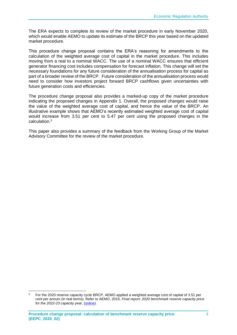The ERA expects to complete its review of the market procedure in early November 2020, which would enable AEMO to update its estimate of the BRCP this year based on the updated market procedure.

This procedure change proposal contains the ERA's reasoning for amendments to the calculation of the weighted average cost of capital in the market procedure. This includes moving from a real to a nominal WACC. The use of a nominal WACC ensures that efficient generator financing cost includes compensation for forecast inflation. This change will set the necessary foundations for any future consideration of the annualisation process for capital as part of a broader review of the BRCP. Future consideration of the annualisation process would need to consider how investors project forward BRCP cashflows given uncertainties with future generation costs and efficiencies.

The procedure change proposal also provides a marked-up copy of the market procedure indicating the proposed changes in Appendix 1. Overall, the proposed changes would raise the value of the weighted average cost of capital, and hence the value of the BRCP. An illustrative example shows that AEMO's recently estimated weighted average cost of capital would increase from 3.51 per cent to 5.47 per cent using the proposed changes in the calculation. 5

This paper also provides a summary of the feedback from the Working Group of the Market Advisory Committee for the review of the market procedure.

<sup>5</sup> For the 2020 reserve capacity cycle BRCP, AEMO applied a weighted average cost of capital of 3.51 per cent per annum (in real terms). Refer to AEMO, 2019, *Final report: 2020 benchmark reserve capacity price for the 2022-23 capacity year*, [\(online\)](https://aemo.com.au/-/media/files/electricity/wem/reserve_capacity_mechanism/brcp/2020/final-report/final-report---benchmark-reserve-capacity-price-for-the-2022-23-capacity-year.pdf?la=en&hash=01DBBEC4291877CDA51EC016432D181A).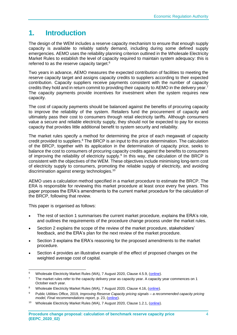# <span id="page-6-0"></span>**1. Introduction**

The design of the WEM includes a reserve capacity mechanism to ensure that enough supply capacity is available to reliably satisfy demand, including during some defined supply emergencies. AEMO uses the reliability planning criterion outlined in the Wholesale Electricity Market Rules to establish the level of capacity required to maintain system adequacy: this is referred to as the reserve capacity target.<sup>6</sup>

Two years in advance, AEMO measures the expected contribution of facilities to meeting the reserve capacity target and assigns capacity credits to suppliers according to their expected contribution. Capacity suppliers receive payments consistent with the number of capacity credits they hold and in return commit to providing their capacity to AEMO in the delivery year.<sup>7</sup> The capacity payments provide incentives for investment when the system requires new capacity.

The cost of capacity payments should be balanced against the benefits of procuring capacity to improve the reliability of the system. Retailers fund the procurement of capacity and ultimately pass their cost to consumers through retail electricity tariffs. Although consumers value a secure and reliable electricity supply, they should not be expected to pay for excess capacity that provides little additional benefit to system security and reliability.

The market rules specify a method for determining the price of each megawatt of capacity credit provided to suppliers.<sup>8</sup> The BRCP is an input to this price determination. The calculation of the BRCP, together with its application in the determination of capacity price, seeks to balance the cost to consumers of procuring capacity credits against the benefits to consumers of improving the reliability of electricity supply.<sup>9</sup> In this way, the calculation of the BRCP is consistent with the objectives of the WEM. These objectives include minimising long-term cost of electricity supply to consumers, promoting the reliable supply of electricity, and avoiding discrimination against energy technologies.<sup>10</sup>

AEMO uses a calculation method specified in a market procedure to estimate the BRCP. The ERA is responsible for reviewing this market procedure at least once every five years. This paper proposes the ERA's amendments to the current market procedure for the calculation of the BRCP, following that review.

This paper is organised as follows:

- The rest of section 1 summarises the current market procedure, explains the ERA's role, and outlines the requirements of the procedure change process under the market rules.
- Section 2 explains the scope of the review of the market procedure, stakeholders' feedback, and the ERA's plan for the next review of the market procedure.
- Section 3 explains the ERA's reasoning for the proposed amendments to the market procedure.
- Section 4 provides an illustrative example of the effect of proposed changes on the weighted average cost of capital.

<sup>6</sup> Wholesale Electricity Market Rules (WA), 7 August 2020, Clause 4.5.9, [\(online\)](https://www.erawa.com.au/cproot/21394/2/Wholesale-Electricity-Market-Rules-7-August-2020.pdf).

 $7$  The market rules refer to the capacity delivery year as capacity year. A capacity year commences on 1 October each year.

<sup>8</sup> Wholesale Electricity Market Rules (WA), 7 August 2020, Clause 4.16, [\(online\)](https://www.erawa.com.au/cproot/21394/2/Wholesale-Electricity-Market-Rules-7-August-2020.pdf).

<sup>9</sup> Public Utilities Office, 2019, *Improving Reserve Capacity pricing signals – a recommended capacity pricing model, Final recommendations report*, p. 23, [\(online\)](https://www.wa.gov.au/sites/default/files/2019-08/Final-Recommendations-Report-Improving-Reserve-Capacity-pricing-signals_0.pdf).

<sup>&</sup>lt;sup>10</sup> Wholesale Electricity Market Rules (WA), 7 August 2020, Clause 1.2.1, [\(online\)](https://www.erawa.com.au/cproot/21394/2/Wholesale-Electricity-Market-Rules-7-August-2020.pdf).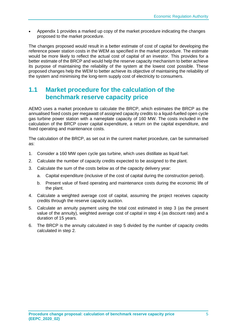• Appendix 1 provides a marked up copy of the market procedure indicating the changes proposed to the market procedure.

The changes proposed would result in a better estimate of cost of capital for developing the reference power station costs in the WEM as specified in the market procedure. The estimate would be more likely to reflect the actual cost of capital of an investor. This provides for a better estimate of the BRCP and would help the reserve capacity mechanism to better achieve its purpose of maintaining the reliability of the system at the lowest cost possible. These proposed changes help the WEM to better achieve its objective of maintaining the reliability of the system and minimising the long-term supply cost of electricity to consumers.

# <span id="page-7-0"></span>**1.1 Market procedure for the calculation of the benchmark reserve capacity price**

AEMO uses a market procedure to calculate the BRCP, which estimates the BRCP as the annualised fixed costs per megawatt of assigned capacity credits to a liquid-fuelled open cycle gas turbine power station with a nameplate capacity of 160 MW. The costs included in the calculation of the BRCP cover capital expenditure, a return on the capital expenditure, and fixed operating and maintenance costs.

The calculation of the BRCP, as set out in the current market procedure, can be summarised as:

- 1. Consider a 160 MW open cycle gas turbine, which uses distillate as liquid fuel.
- 2. Calculate the number of capacity credits expected to be assigned to the plant.
- 3. Calculate the sum of the costs below as of the capacity delivery year:
	- a. Capital expenditure (inclusive of the cost of capital during the construction period).
	- b. Present value of fixed operating and maintenance costs during the economic life of the plant.
- 4. Calculate a weighted average cost of capital, assuming the project receives capacity credits through the reserve capacity auction.
- 5. Calculate an annuity payment using the total cost estimated in step 3 (as the present value of the annuity), weighted average cost of capital in step 4 (as discount rate) and a duration of 15 years.
- 6. The BRCP is the annuity calculated in step 5 divided by the number of capacity credits calculated in step 2.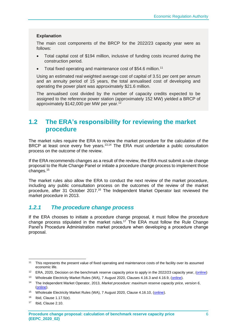#### **Explanation**

The main cost components of the BRCP for the 2022/23 capacity year were as follows:

- Total capital cost of \$194 million, inclusive of funding costs incurred during the construction period.
- Total fixed operating and maintenance cost of \$54.6 million.<sup>11</sup>

Using an estimated real weighted average cost of capital of 3.51 per cent per annum and an annuity period of 15 years, the total annualised cost of developing and operating the power plant was approximately \$21.6 million.

The annualised cost divided by the number of capacity credits expected to be assigned to the reference power station (approximately 152 MW) yielded a BRCP of approximately \$142,000 per MW per year.<sup>12</sup>

# <span id="page-8-0"></span>**1.2 The ERA's responsibility for reviewing the market procedure**

The market rules require the ERA to review the market procedure for the calculation of the BRCP at least once every five years.<sup>13,14</sup> The ERA must undertake a public consultation process on the outcome of the review.

If the ERA recommends changes as a result of the review, the ERA must submit a rule change proposal to the Rule Change Panel or initiate a procedure change process to implement those changes.<sup>15</sup>

The market rules also allow the ERA to conduct the next review of the market procedure, including any public consultation process on the outcomes of the review of the market procedure, after 31 October 2017.<sup>16</sup> The Independent Market Operator last reviewed the market procedure in 2013.

### <span id="page-8-1"></span>*1.2.1 The procedure change process*

If the ERA chooses to initiate a procedure change proposal, it must follow the procedure change process stipulated in the market rules. <sup>17</sup> The ERA must follow the Rule Change Panel's Procedure Administration market procedure when developing a procedure change proposal.

<sup>11</sup> This represents the present value of fixed operating and maintenance costs of the facility over its assumed economic life.

<sup>&</sup>lt;sup>12</sup> ERA, 2020, Decision on the benchmark reserve capacity price to apply in the 2022/23 capacity year, [\(online\)](https://www.erawa.com.au/cproot/20891/2/Benchmark-Reserve-Capacity-Price-2020---Decision-paper.pdf)

<sup>13</sup> Wholesale Electricity Market Rules (WA), 7 August 2020, Clauses 4.16.3 and 4.16.9, [\(online\)](https://www.erawa.com.au/cproot/21394/2/Wholesale-Electricity-Market-Rules-7-August-2020.pdf).

<sup>14</sup> The Independent Market Operator, 2013, *Market procedure: maximum reserve capacity price, version 6*, [\(online\)](https://www.erawa.com.au/cproot/14362/2/Market%20Procedure%20-%20Maximum%20Reserve%20Capacity%20Price.pdf).

<sup>&</sup>lt;sup>15</sup> Wholesale Electricity Market Rules (WA), 7 August 2020, Clause 4.16.10, [\(online\)](https://www.erawa.com.au/cproot/21394/2/Wholesale-Electricity-Market-Rules-7-August-2020.pdf).

<sup>16</sup> Ibid, Clause 1.17.5(e).

<sup>17</sup> Ibid, Clause 2.10.

**Procedure change proposal: calculation of benchmark reserve capacity price (EEPC\_2020\_02)**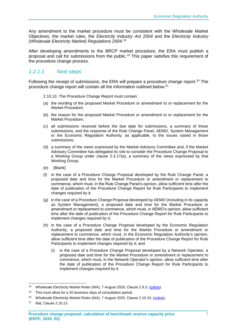Any amendment to the market procedure must be consistent with the Wholesale Market Objectives, the market rules, the *Electricity Industry Act 2004* and the *Electricity Industry (Wholesale Electricity Market) Regulations 2004*. 18

After developing amendments to the BRCP market procedure, the ERA must publish a proposal and call for submissions from the public. <sup>19</sup> This paper satisfies this requirement of the procedure change process.

### *1.2.1.1 Next steps*

Following the receipt of submissions, the ERA will prepare a procedure change report.<sup>20</sup> The procedure change report will contain all the information outlined below:<sup>21</sup>

- 2.10.13. The Procedure Change Report must contain:
- (a) the wording of the proposed Market Procedure or amendment to or replacement for the Market Procedure;
- (b) the reason for the proposed Market Procedure or amendment to or replacement for the Market Procedure;
- (c) all submissions received before the due date for submissions, a summary of those submissions, and the response of the Rule Change Panel, AEMO, System Management or the Economic Regulation Authority, as applicable, to the issues raised in those submissions;
- (d) a summary of the views expressed by the Market Advisory Committee and, if the Market Advisory Committee has delegated its role to consider the Procedure Change Proposal to a Working Group under clause 2.3.17(a), a summary of the views expressed by that Working Group;
- (e) [Blank]
- (f) in the case of a Procedure Change Proposal developed by the Rule Change Panel, a proposed date and time for the Market Procedure or amendment or replacement to commence, which must, in the Rule Change Panel's opinion, allow sufficient time after the date of publication of the Procedure Change Report for Rule Participants to implement changes required by it;
- (g) in the case of a Procedure Change Proposal developed by AEMO (including in its capacity as System Management), a proposed date and time for the Market Procedure or amendment or replacement to commence, which must, in AEMO's opinion, allow sufficient time after the date of publication of the Procedure Change Report for Rule Participants to implement changes required by it;
- (h) in the case of a Procedure Change Proposal developed by the Economic Regulation Authority, a proposed date and time for the Market Procedure or amendment or replacement to commence, which must, in the Economic Regulation Authority's opinion, allow sufficient time after the date of publication of the Procedure Change Report for Rule Participants to implement changes required by it; and
	- (i) in the case of a Procedure Change Proposal developed by a Network Operator, a proposed date and time for the Market Procedure or amendment or replacement to commence, which must, in the Network Operator's opinion, allow sufficient time after the date of publication of the Procedure Change Report for Rule Participants to implement changes required by it.

<sup>18</sup> Wholesale Electricity Market Rules (WA), 7 August 2020, Clause 2.9.3, [\(online\)](https://www.erawa.com.au/cproot/21394/2/Wholesale-Electricity-Market-Rules-7-August-2020.pdf).

<sup>&</sup>lt;sup>19</sup> This must allow for a 20 business days of consultation period.

<sup>&</sup>lt;sup>20</sup> Wholesale Electricity Market Rules (WA), 7 August 2020, Clause 2.10.10, [\(online\)](https://www.erawa.com.au/cproot/21394/2/Wholesale-Electricity-Market-Rules-7-August-2020.pdf).

<sup>21</sup> Ibid, Clause 2.10.13.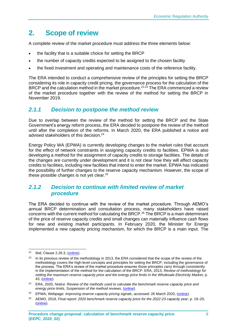# <span id="page-10-0"></span>**2. Scope of review**

A complete review of the market procedure must address the three elements below:

- the facility that is a suitable choice for setting the BRCP
- the number of capacity credits expected to be assigned to the chosen facility
- the fixed investment and operating and maintenance costs of the reference facility.

The ERA intended to conduct a comprehensive review of the principles for setting the BRCP considering its role in capacity credit pricing, the governance process for the calculation of the BRCP and the calculation method in the market procedure.<sup>22,23</sup> The ERA commenced a review of the market procedure together with the review of the method for setting the BRCP in November 2019.

### <span id="page-10-1"></span>*2.1.1 Decision to postpone the method review*

Due to overlap between the review of the method for setting the BRCP and the State Government's energy reform process, the ERA decided to postpone the review of the method until after the completion of the reforms. In March 2020, the ERA published a notice and advised stakeholders of this decision.<sup>24</sup>

Energy Policy WA (EPWA) is currently developing changes to the market rules that account for the effect of network constraints in assigning capacity credits to facilities. EPWA is also developing a method for the assignment of capacity credits to storage facilities. The details of the changes are currently under development and it is not clear how they will affect capacity credits to facilities, including new facilities that intend to enter the market. EPWA has indicated the possibility of further changes to the reserve capacity mechanism. However, the scope of these possible changes is not yet clear.<sup>25</sup>

### <span id="page-10-2"></span>*2.1.2 Decision to continue with limited review of market procedure*

The ERA decided to continue with the review of the market procedure. Through AEMO's annual BRCP determination and consultation process, many stakeholders have raised concerns with the current method for calculating the BRCP. <sup>26</sup> The BRCP is a main determinant of the price of reserve capacity credits and small changes can materially influence cash flows for new and existing market participants. In February 2020, the Minister for Energy implemented a new capacity pricing mechanism, for which the BRCP is a main input. The

 $22$  Ibid, Clause 2.26.3, [\(online\)](https://www.erawa.com.au/cproot/21394/2/Wholesale-Electricity-Market-Rules-7-August-2020.pdf).

<sup>&</sup>lt;sup>23</sup> In its previous review of the methodology in 2013, the ERA considered that the scope of the review of the methodology covers the high-level concepts and principles for setting the BRCP, including the governance of the process. The ERA's review of the market procedure ensures those principles carry through consistently in the implementation of the method for the calculation of the BRCP. ERA, 2013, *Review of methodology for setting the maximum reserve capacity price and the energy price limits in the Wholesale Electricity Market*, p. 43, [\(online\)](https://www.erawa.com.au/cproot/12036/2/Review%20of%20methodology%20for%20setting%20the%20MRCP%20and%20the%20EPLs%20in%20the%20WEM.pdf).

<sup>24</sup> ERA, 2020, *Notice: Review of the methods used to calculate the benchmark reserve capacity price and energy price limits, Suspension of the method reviews*, [\(online\)](https://www.erawa.com.au/cproot/21237/2/NOTICE---Suspension-of-BRCPEPL-method-reviews.pdf).

<sup>25</sup> EPWA, Webpage: *Improving reserve capacity pricing signals*, accessed: 26 March 2020, [\(online\)](https://www.wa.gov.au/government/document-collections/improving-reserve-capacity-pricing-signals).

<sup>26</sup> AEMO, 2019, *Final report: 2020 benchmark reserve capacity price for the 2022-23 capacity year*, p. 19–20, [\(online\)](https://aemo.com.au/-/media/files/electricity/wem/reserve_capacity_mechanism/brcp/2020/final-report/final-report---benchmark-reserve-capacity-price-for-the-2022-23-capacity-year.pdf?la=en&hash=01DBBEC4291877CDA51EC016432D181A).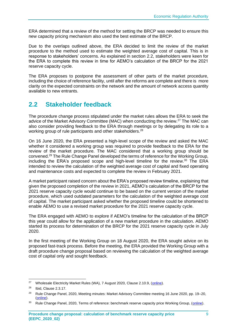ERA determined that a review of the method for setting the BRCP was needed to ensure this new capacity pricing mechanism also used the best estimate of the BRCP.

Due to the overlaps outlined above, the ERA decided to limit the review of the market procedure to the method used to estimate the weighted average cost of capital. This is in response to stakeholders' concerns. As explained in section [2.2,](#page-11-0) stakeholders were keen for the ERA to complete this review in time for AEMO's calculation of the BRCP for the 2021 reserve capacity cycle.

The ERA proposes to postpone the assessment of other parts of the market procedure, including the choice of reference facility, until after the reforms are complete and there is more clarity on the expected constraints on the network and the amount of network access quantity available to new entrants.

# <span id="page-11-0"></span>**2.2 Stakeholder feedback**

The procedure change process stipulated under the market rules allows the ERA to seek the advice of the Market Advisory Committee (MAC) when conducting the review.<sup>27</sup> The MAC can also consider providing feedback to the ERA through meetings or by delegating its role to a working group of rule participants and other stakeholders.<sup>28</sup>

On 16 June 2020, the ERA presented a high-level scope of the review and asked the MAC whether it considered a working group was required to provide feedback to the ERA for the review of the market procedure. The MAC considered that a working group should be convened.<sup>29</sup> The Rule Change Panel developed the terms of reference for the Working Group, including the ERA's proposed scope and high-level timeline for the review. <sup>30</sup> The ERA intended to review the calculation of the weighted average cost of capital and fixed operating and maintenance costs and expected to complete the review in February 2021.

A market participant raised concern about the ERA's proposed review timeline, explaining that given the proposed completion of the review in 2021, AEMO's calculation of the BRCP for the 2021 reserve capacity cycle would continue to be based on the current version of the market procedure, which used outdated parameters for the calculation of the weighted average cost of capital. The market participant asked whether the proposed timeline could be shortened to enable AEMO to use a revised market procedure for the 2021 reserve capacity cycle.

The ERA engaged with AEMO to explore if AEMO's timeline for the calculation of the BRCP this year could allow for the application of a new market procedure in the calculation. AEMO started its process for determination of the BRCP for the 2021 reserve capacity cycle in July 2020.

In the first meeting of the Working Group on 18 August 2020, the ERA sought advice on its proposed fast-track process. Before the meeting, the ERA provided the Working Group with a draft procedure change proposal based on reviewing the calculation of the weighted average cost of capital only and sought feedback.

<sup>27</sup> Wholesale Electricity Market Rules (WA), 7 August 2020, Clause 2.10.9, [\(online\)](https://www.erawa.com.au/cproot/21394/2/Wholesale-Electricity-Market-Rules-7-August-2020.pdf).

<sup>28</sup> Ibid, Clause 2.3.17.

<sup>&</sup>lt;sup>29</sup> Rule Change Panel, 2020, Meeting minutes: Market Advisory Committee meeting 16 June 2020, pp. 19–20, [\(online\)](https://www.erawa.com.au/cproot/21382/2/MAC-2020_06_16----Minutes-FINAL.pdf).

<sup>&</sup>lt;sup>30</sup> Rule Change Panel, 2020, Terms of reference: benchmark reserve capacity price Working Group, [\(online\)](https://www.erawa.com.au/cproot/21385/2/BRCP-Working-Group----Terms-of-Reference-28-July-2020-.pdf).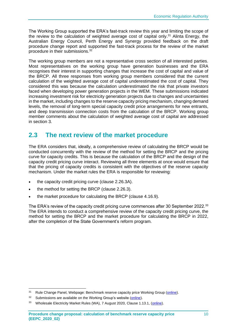The Working Group supported the ERA's fast-track review this year and limiting the scope of the review to the calculation of weighted average cost of capital only.<sup>31</sup> Alinta Energy, the Australian Energy Council, Perth Energy and Synergy provided feedback on the draft procedure change report and supported the fast-track process for the review of the market procedure in their submissions.<sup>32</sup>

The working group members are not a representative cross section of all interested parties. Most representatives on the working group have generation businesses and the ERA recognises their interest in supporting changes that increase the cost of capital and value of the BRCP. All three responses from working group members considered that the current calculation of the weighted average cost of capital underestimated the cost of capital. They considered this was because the calculation underestimated the risk that private investors faced when developing power generation projects in the WEM. These submissions indicated increasing investment risk for electricity generation projects due to changes and uncertainties in the market, including changes to the reserve capacity pricing mechanism, changing demand levels, the removal of long-term special capacity credit price arrangements for new entrants, and deep transmission connection costs from the calculation of the BRCP. Working group member comments about the calculation of weighted average cost of capital are addressed in section 3.

# <span id="page-12-0"></span>**2.3 The next review of the market procedure**

The ERA considers that, ideally, a comprehensive review of calculating the BRCP would be conducted concurrently with the review of the method for setting the BRCP and the pricing curve for capacity credits. This is because the calculation of the BRCP and the design of the capacity credit pricing curve interact. Reviewing all three elements at once would ensure that that the pricing of capacity credits is consistent with the objectives of the reserve capacity mechanism. Under the market rules the ERA is responsible for reviewing:

- the capacity credit pricing curve (clause 2.26.3A).
- the method for setting the BRCP (clause 2.26.3).
- the market procedure for calculating the BRCP (clause 4.16.9).

The ERA's review of the capacity credit pricing curve commences after 30 September 2022.<sup>33</sup> The ERA intends to conduct a comprehensive review of the capacity credit pricing curve, the method for setting the BRCP and the market procedure for calculating the BRCP in 2022, after the completion of the State Government's reform program.

<sup>&</sup>lt;sup>31</sup> Rule Change Panel, Webpage: Benchmark reserve capacity price Working Group [\(online\)](https://www.erawa.com.au/rule-change-panel-brcp-working-group).

<sup>&</sup>lt;sup>32</sup> Submissions are available on the Working Group's website [\(online\)](https://www.erawa.com.au/rule-change-panel-brcp-working-group).

<sup>&</sup>lt;sup>33</sup> Wholesale Electricity Market Rules (WA), 7 August 2020, Clause 1.13.1, [\(online\)](https://www.erawa.com.au/cproot/21394/2/Wholesale-Electricity-Market-Rules-7-August-2020.pdf).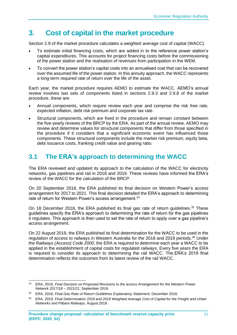# <span id="page-13-0"></span>**3. Cost of capital in the market procedure**

Section 2.9 of the market procedure calculates a weighted average cost of capital (WACC):

- To estimate initial financing costs, which are added in to the reference power station's capital expenditures. This accounts for project financing costs before the commissioning of the power station and the realisation of revenues from participation in the WEM.
- To convert the power station's capital costs into an annualised cost that can be recovered over the assumed life of the power station. In this annuity approach, the WACC represents a long-term required rate of return over the life of the asset.

Each year, the market procedure requires AEMO to estimate the WACC. AEMO's annual review involves two sets of components listed in sections 2.9.3 and 2.9.8 of the market procedure, these are:

- Annual components, which require review each year and comprise the risk free rate, expected inflation, debt risk premium and corporate tax rate.
- Structural components, which are fixed in the procedure and remain constant between the five-yearly reviews of the BRCP by the ERA. As part of the annual review, AEMO may review and determine values for structural components that differ from those specified in the procedure if it considers that a significant economic event has influenced those components. These structural components include the market risk premium, equity beta, debt issuance costs, franking credit value and gearing ratio.

# <span id="page-13-1"></span>**3.1 The ERA's approach to determining the WACC**

The ERA reviewed and updated its approach to the calculation of the WACC for electricity networks, gas pipelines and rail in 2018 and 2019. These reviews have informed the ERA's review of the WACC for the calculation of the BRCP.

On 20 September 2018, the ERA published its final decision on Western Power's access arrangement for 2017 to 2021. This final decision detailed the ERA's approach to determining rate of return for Western Power's access arrangement.<sup>34</sup>

On 18 December 2018, the ERA published its final gas rate of return guidelines.<sup>35</sup> These guidelines specify the ERA's approach to determining the rate of return for the gas pipelines it regulates. This approach is then used to set the rate of return to apply over a gas pipeline's access arrangement.

On 22 August 2019, the ERA published its final determination for the WACC to be used in the regulation of access to railways in Western Australia for the 2018 and 2019 periods.<sup>36</sup> Under the *Railways (Access) Code 2000*, the ERA is required to determine each year a WACC to be applied in the establishment of capital costs for regulated railways. Every five years the ERA is required to consider its approach to determining the rail WACC. The ERA's 2019 final determination reflects the outcomes from its latest review of the rail WACC.

<sup>34</sup> ERA, 2019, *Final Decision on Proposed Revisions to the access Arrangement for the Western Power Network 2017/18 – 2021/21*, September 2018.

<sup>35</sup> ERA, 2018, *Final Gas Rate of Return Guidelines Explanatory Statement*, December 2018.

<sup>36</sup> ERA, 2019, *Final Determination 2018 and 2019 Weighted Average Cost of Capital for the Freight and Urban Networks and Pilbara Railways*, August 2019.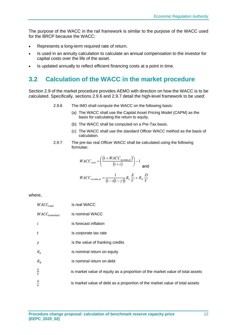The purpose of the WACC in the rail framework is similar to the purpose of the WACC used for the BRCP because the WACC:

- Represents a long-term required rate of return.
- Is used in an annuity calculation to calculate an annual compensation to the investor for capital costs over the life of the asset.
- Is updated annually to reflect efficient financing costs at a point in time.

## <span id="page-14-0"></span>**3.2 Calculation of the WACC in the market procedure**

Section 2.9 of the market procedure provides AEMO with direction on how the WACC is to be calculated. Specifically, sections 2.9.6 and 2.9.7 detail the high-level framework to be used:

- 2.9.6 The IMO shall compute the WACC on the following basis:
	- (a) The WACC shall use the Capital Asset Pricing Model (CAPM) as the basis for calculating the return to equity.
	- (b) The WACC shall be computed on a Pre-Tax basis.
	- (c) The WACC shall use the standard Officer WACC method as the basis of calculation.
- 2.9.7 The pre-tax real Officer WACC shall be calculated using the following formulae:

$$
WACC_{real} = \left(\frac{(1 + WACC_{nominal})}{(1 + i)}\right) - 1
$$
 and  

$$
WACC_{nominal} = \frac{1}{(1 - t(1 - \gamma))} R_e \frac{E}{V} + R_d \frac{D}{V}
$$

where,

| $WACC_{real}$       | is real WACC                                                                  |
|---------------------|-------------------------------------------------------------------------------|
| $WACC_{nominal}$    | is nominal WACC                                                               |
| i                   | is forecast inflation                                                         |
| t                   | is corporate tax rate                                                         |
| $\gamma$            | is the value of franking credits                                              |
| $R_e$               | is nominal return on equity                                                   |
| $R_d$               | is nominal return on debt                                                     |
| $\overline{E}$<br>V | is market value of equity as a proportion of the market value of total assets |
| $\overline{D}$<br>V | is market value of debt as a proportion of the market value of total assets   |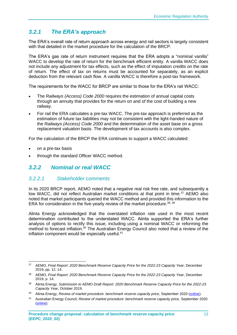## <span id="page-15-0"></span>*3.2.1 The ERA's approach*

The ERA's overall rate of return approach across energy and rail sectors is largely consistent with that detailed in the market procedure for the calculation of the BRCP.

The ERA's gas rate of return instrument requires that the ERA adopts a "nominal vanilla" WACC to develop the rate of return for the benchmark efficient entity. A vanilla WACC does not include any adjustment for tax effects, such as the effect of imputation credits on the rate of return. The effect of tax on returns must be accounted for separately, as an explicit deduction from the relevant cash flow. A vanilla WACC is therefore a post-tax framework.

The requirements for the WACC for BRCP are similar to those for the ERA's rail WACC:

- The *Railways (Access) Code 2000* requires the estimation of annual capital costs through an annuity that provides for the return on and of the cost of building a new railway.
- For rail the ERA calculates a pre-tax WACC. The pre-tax approach is preferred as the estimation of future tax liabilities may not be consistent with the light-handed nature of the *Railways (Access) Code 2000* and the determination of the asset base on a gross replacement valuation basis. The development of tax accounts is also complex.

For the calculation of the BRCP the ERA continues to support a WACC calculated:

- on a pre-tax basis
- through the standard Officer WACC method.

### <span id="page-15-1"></span>*3.2.2 Nominal or real WACC*

### *3.2.2.1 Stakeholder comments*

In its 2020 BRCP report, AEMO noted that a negative real risk free rate, and subsequently a low WACC, did not reflect Australian market conditions at that point in time.<sup>37</sup> AEMO also noted that market participants queried the WACC method and provided this information to the ERA for consideration in the five-yearly review of the market procedure.  $38, 39$ 

Alinta Energy acknowledged that the overstated inflation rate used in the most recent determination contributed to the understated WACC. Alinta supported the ERA's further analysis of options to rectify this issue, including using a nominal WACC or reforming the method to forecast inflation.<sup>40</sup> The Australian Energy Council also noted that a review of the inflation component would be especially useful.<sup>41</sup>

<sup>37</sup> AEMO, *Final Report: 2020 Benchmark Reserve Capacity Price for the 2022-23 Capacity Year*, December 2019, pp. 12, 14.

<sup>38</sup> AEMO, *Final Report: 2020 Benchmark Reserve Capacity Price for the 2022-23 Capacity Year*, December 2019, p. 14.

<sup>39</sup> Alinta Energy, *Submission to AEMO Draft Report: 2020 Benchmark Reserve Capacity Price for the 2022-23 Capacity Year,* October 2019.

<sup>40</sup> Alinta Energy, *Review of market procedure: benchmark reserve capacity price,* September 2020 [\(online\)](https://www.erawa.com.au/cproot/21425/2/Alinta-Energy-submission---ERA-BRCP-Market-Procedure-Review_Redacted.pdf).

<sup>41</sup> Australian Energy Council, *Review of market procedure: benchmark reserve capacity price,* September 2020 [\(online\)](https://www.erawa.com.au/cproot/21423/2/AEC-feedback-on-the-BRCP.pdf).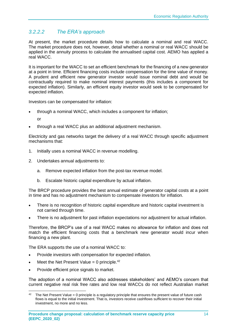## *3.2.2.2 The ERA's approach*

At present, the market procedure details how to calculate a nominal and real WACC. The market procedure does not, however, detail whether a nominal or real WACC should be applied in the annuity process to calculate the annualised capital cost. AEMO has applied a real WACC.

It is important for the WACC to set an efficient benchmark for the financing of a new generator at a point in time. Efficient financing costs include compensation for the time value of money. A prudent and efficient new generator investor would issue nominal debt and would be contractually required to make nominal interest payments (this includes a component for expected inflation). Similarly, an efficient equity investor would seek to be compensated for expected inflation.

Investors can be compensated for inflation:

- through a nominal WACC, which includes a component for inflation;
	- or
- through a real WACC plus an additional adjustment mechanism.

Electricity and gas networks target the delivery of a real WACC through specific adjustment mechanisms that:

- 1. Initially uses a nominal WACC in revenue modelling.
- 2. Undertakes annual adjustments to:
	- a. Remove expected inflation from the post-tax revenue model.
	- b. Escalate historic capital expenditure by actual inflation.

The BRCP procedure provides the best annual estimate of generator capital costs at a point in time and has no adjustment mechanism to compensate investors for inflation.

- There is no recognition of historic capital expenditure and historic capital investment is not carried through time.
- There is no adjustment for past inflation expectations nor adjustment for actual inflation.

Therefore, the BRCP's use of a real WACC makes no allowance for inflation and does not match the efficient financing costs that a benchmark new generator would incur when financing a new plant.

The ERA supports the use of a nominal WACC to:

- Provide investors with compensation for expected inflation.
- Meet the Net Present Value = 0 principle.<sup>42</sup>
- Provide efficient price signals to market.

The adoption of a nominal WACC also addresses stakeholders' and AEMO's concern that current negative real risk free rates and low real WACCs do not reflect Australian market

<sup>&</sup>lt;sup>42</sup> The Net Present Value = 0 principle is a regulatory principle that ensures the present value of future cash flows is equal to the initial investment. That is, investors receive cashflows sufficient to recover their initial investment, no more and no less.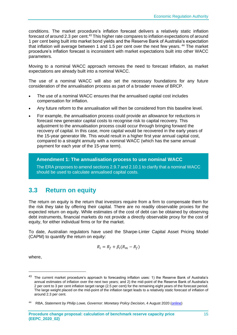conditions. The market procedure's inflation forecast delivers a relatively static inflation forecast of around 2.3 per cent.<sup>43</sup> This higher rate compares to inflation expectations of around 1 per cent being built into market bond yields and the Reserve Bank of Australia's expectation that inflation will average between 1 and 1.5 per cent over the next few vears.<sup>44</sup> The market procedure's inflation forecast is inconsistent with market expectations built into other WACC parameters.

Moving to a nominal WACC approach removes the need to forecast inflation, as market expectations are already built into a nominal WACC.

The use of a nominal WACC will also set the necessary foundations for any future consideration of the annualisation process as part of a broader review of BRCP.

- The use of a nominal WACC ensures that the annualised capital cost includes compensation for inflation.
- Any future reform to the annualisation will then be considered from this baseline level.
- For example, the annualisation process could provide an allowance for reductions in forecast new generator capital costs to recognise risk to capital recovery. This adjustment to the annualisation process could occur through bringing forward the recovery of capital. In this case, more capital would be recovered in the early years of the 15-year generator life. This would result in a higher first year annual capital cost, compared to a straight annuity with a nominal WACC (which has the same annual payment for each year of the 15-year term).

**Amendment 1: The annualisation process to use nominal WACC**

The ERA proposes to amend sections 2.9.7 and 2.10.1 to clarify that a nominal WACC should be used to calculate annualised capital costs.

# <span id="page-17-0"></span>**3.3 Return on equity**

The return on equity is the return that investors require from a firm to compensate them for the risk they take by offering their capital. There are no readily observable proxies for the expected return on equity. While estimates of the cost of debt can be obtained by observing debt instruments, financial markets do not provide a directly observable proxy for the cost of equity, for either individual firms or for the market.

To date, Australian regulators have used the Sharpe-Linter Capital Asset Pricing Model (CAPM) to quantify the return on equity:

$$
R_i = R_f + \beta_i (R_m - R_f)
$$

where,

<sup>&</sup>lt;sup>43</sup> The current market procedure's approach to forecasting inflation uses: 1) the Reserve Bank of Australia's annual estimates of inflation over the next two years; and 2) the mid-point of the Reserve Bank of Australia's 2 per cent to 3 per cent inflation target range (2.5 per cent) for the remaining eight years of the forecast period. The large weight placed on the mid-point of the inflation target leads to a relatively static forecast of inflation of around 2.3 per cent.

<sup>44</sup> RBA, *Statement by Philip Lowe, Governor: Monetary Policy Decision*, 4 August 2020 [\(online\)](https://www.rba.gov.au/media-releases/2020/mr-20-18.html?utm_campaign=monetary-policy-decision-2020-aug&utm_content=media-release&utm_medium=email&utm_source=rbanews)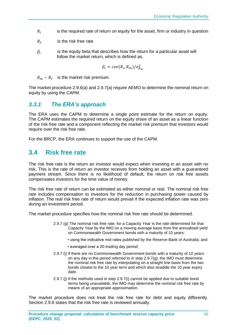- $R_i$ is the required rate of return on equity for the asset, firm or industry in question
- $R_f$  is the risk free rate
- $\beta_i$ is the equity beta that describes how the return for a particular asset will follow the market return, which is defined as,

$$
\beta_i = cov(R_i, R_m) / \sigma_{R_m}^2
$$

 $R_m - R_f$  is the market risk premium.

The market procedure 2.9.6(a) and 2.9.7(a) require AEMO to determine the nominal return on equity by using the CAPM.

### <span id="page-18-0"></span>*3.3.1 The ERA's approach*

The ERA uses the CAPM to determine a single point estimate for the return on equity. The CAPM estimates the required return on the equity share of an asset as a linear function of the risk free rate and a component reflecting the market risk premium that investors would require over the risk free rate.

For the BRCP, the ERA continues to support the use of the CAPM.

## <span id="page-18-1"></span>**3.4 Risk free rate**

The risk free rate is the return an investor would expect when investing in an asset with no risk. This is the rate of return an investor receives from holding an asset with a guaranteed payment stream. Since there is no likelihood of default, the return on risk free assets compensates investors for the time value of money.

The risk free rate of return can be estimated as either nominal or real. The nominal risk free rate includes compensation to investors for the reduction in purchasing power caused by inflation. The real risk free rate of return would prevail if the expected inflation rate was zero during an investment period.

The market procedure specifies how the nominal risk free rate should be determined.

- 2.9.7 (g) The nominal risk free rate, for a Capacity Year is the rate determined for that Capacity Year by the IMO on a moving average basis from the annualised yield on Commonwealth Government bonds with a maturity of 10 years:
	- using the indicative mid rates published by the Reserve Bank of Australia; and
	- averaged over a 20-trading day period;
- 2.9.7 (i) If there are no Commonwealth Government bonds with a maturity of 10 years on any day in the period referred to in step 2.9.7(g), the IMO must determine the nominal risk free rate by interpolating on a straight line basis from the two bonds closest to the 10 year term and which also straddle the 10 year expiry date.
- 2.9.7 (j) If the methods used in step 2.9.7(i) cannot be applied due to suitable bond terms being unavailable, the IMO may determine the nominal risk free rate by means of an appropriate approximation.

The market procedure does not treat the risk free rate for debt and equity differently. Section 2.9.8 states that the risk free rate is reviewed annually.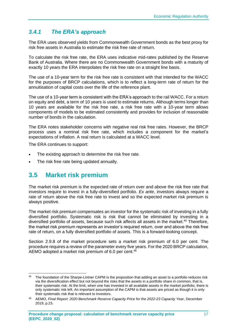## <span id="page-19-0"></span>*3.4.1 The ERA's approach*

The ERA uses observed yields from Commonwealth Government bonds as the best proxy for risk free assets in Australia to estimate the risk free rate of return.

To calculate the risk free rate, the ERA uses indicative mid-rates published by the Reserve Bank of Australia. Where there are no Commonwealth Government bonds with a maturity of exactly 10 years the ERA interpolates the risk free rate on a straight line basis.

The use of a 10-year term for the risk free rate is consistent with that intended for the WACC for the purposes of BRCP calculations, which is to reflect a long-term rate of return for the annuitisation of capital costs over the life of the reference plant.

The use of a 10-year term is consistent with the ERA's approach to the rail WACC. For a return on equity and debt, a term of 10 years is used to estimate returns. Although terms longer than 10 years are available for the risk free rate, a risk free rate with a 10-year term allows components of models to be estimated consistently and provides for inclusion of reasonable number of bonds in the calculation.

The ERA notes stakeholder concerns with negative real risk free rates. However, the BRCP process uses a nominal risk free rate, which includes a component for the market's expectations of inflation. A real return is calculated at a WACC level.

The ERA continues to support:

- The existing approach to determine the risk free rate.
- The risk free rate being updated annually.

### <span id="page-19-1"></span>**3.5 Market risk premium**

The market risk premium is the expected rate of return over and above the risk free rate that investors require to invest in a fully-diversified portfolio. *Ex ante*, investors always require a rate of return above the risk free rate to invest and so the expected market risk premium is always positive.

The market risk premium compensates an investor for the systematic risk of investing in a fully diversified portfolio. Systematic risk is risk that cannot be eliminated by investing in a diversified portfolio of assets, because such risk affects all assets in the market.<sup>45</sup> Therefore, the market risk premium represents an investor's required return, over and above the risk free rate of return, on a fully diversified portfolio of assets. This is a forward-looking concept.

Section 2.9.8 of the market procedure sets a market risk premium of 6.0 per cent. The procedure requires a review of the parameter every five years. For the 2020 BRCP calculation, AEMO adopted a market risk premium of 6.0 per cent.<sup>46</sup>

<sup>&</sup>lt;sup>45</sup> The foundation of the Sharpe-Lintner CAPM is the proposition that adding an asset to a portfolio reduces risk via the diversification effect but not beyond the risks that the assets in a portfolio share in common, that is, their systematic risk. At the limit, when one has invested in all available assets in the market portfolio, there is only systematic risk left. An important assumption of the CAPM is that assets are priced as though it is only their systematic risk that is relevant to investors.

<sup>46</sup> AEMO, *Final Report: 2020 Benchmark Reserve Capacity Price for the 2022-23 Capacity Year*, December 2019, p.23.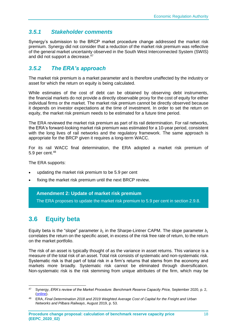### <span id="page-20-0"></span>*3.5.1 Stakeholder comments*

Synergy's submission to the BRCP market procedure change addressed the market risk premium. Synergy did not consider that a reduction of the market risk premium was reflective of the general market uncertainty observed in the South West Interconnected System (SWIS) and did not support a decrease.<sup>47</sup>

### <span id="page-20-1"></span>*3.5.2 The ERA's approach*

The market risk premium is a market parameter and is therefore unaffected by the industry or asset for which the return on equity is being calculated.

While estimates of the cost of debt can be obtained by observing debt instruments, the financial markets do not provide a directly observable proxy for the cost of equity for either individual firms or the market. The market risk premium cannot be directly observed because it depends on investor expectations at the time of investment. In order to set the return on equity, the market risk premium needs to be estimated for a future time period.

The ERA reviewed the market risk premium as part of its rail determination. For rail networks, the ERA's forward-looking market risk premium was estimated for a 10-year period, consistent with the long lives of rail networks and the regulatory framework. The same approach is appropriate for the BRCP given it requires a long-term WACC.

For its rail WACC final determination, the ERA adopted a market risk premium of 5.9 per cent.<sup>48</sup>

The ERA supports:

- updating the market risk premium to be 5.9 per cent
- fixing the market risk premium until the next BRCP review.

### **Amendment 2: Update of market risk premium**

The ERA proposes to update the market risk premium to 5.9 per cent in section 2.9.8.

# <span id="page-20-2"></span>**3.6 Equity beta**

Equity beta is the "slope" parameter  $b_i$  in the Sharpe-Lintner CAPM. The slope parameter  $b_i$ correlates the return on the specific asset, in excess of the risk free rate of return, to the return on the market portfolio.

The risk of an asset is typically thought of as the variance in asset returns. This variance is a measure of the total risk of an asset. Total risk consists of systematic and non-systematic risk. Systematic risk is that part of total risk in a firm's returns that stems from the economy and markets more broadly. Systematic risk cannot be eliminated through diversification. Non-systematic risk is the risk stemming from unique attributes of the firm, which may be

<sup>47</sup> Synergy, *ERA's review of the Market Procedure: Benchmark Reserve Capacity Price,* September 2020, p. 2, [\(online\)](https://www.erawa.com.au/cproot/21424/2/Synergy-feedback-on-the-BRCP.pdf).

<sup>48</sup> ERA, *Final Determination 2018 and 2019 Weighted Average Cost of Capital for the Freight and Urban Networks and Pilbara Railways*, August 2019, p. 53.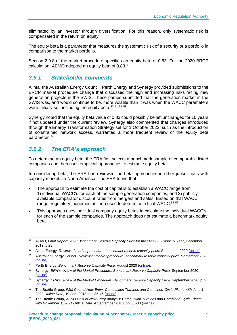eliminated by an investor through diversification. For this reason, only systematic risk is compensated in the return on equity.

The equity beta is a parameter that measures the systematic risk of a security or a portfolio in comparison to the market portfolio.

Section 2.9.8 of the market procedure specifies an equity beta of 0.83. For the 2020 BRCP calculation, AEMO adopted an equity beta of 0.83.<sup>49</sup>

### <span id="page-21-0"></span>*3.6.1 Stakeholder comments*

Alinta, the Australian Energy Council, Perth Energy and Synergy provided submissions to the BRCP market procedure change that discussed the high and increasing risks facing new generation projects in the SWIS. These parties submitted that the generation market in the SWIS was, and would continue to be, more volatile than it was when the WACC parameters were initially set, including the equity beta.<sup>50 51 52 53</sup>

Synergy noted that the equity beta value of 0.83 could possibly be left unchanged for 10 years if not updated under the current review. Synergy also commented that changes introduced through the Energy Transformation Strategy set for 1 October 2022, such as the introduction of constrained network access, warranted a more frequent review of the equity beta parameter. <sup>54</sup>

### <span id="page-21-1"></span>*3.6.2 The ERA's approach*

To determine an equity beta, the ERA first selects a benchmark sample of comparable listed companies and then uses empirical approaches to estimate equity beta.

In considering beta, the ERA has reviewed the beta approaches in other jurisdictions with capacity markets in North America. The ERA found that:

- The approach to estimate the cost of capital is to establish a WACC range from: 1) individual WACC's for each of the sample generation companies; and 2) publicly available comparator discount rates from mergers and sales. Based on that WACC range, regulatory judgement is then used to determine a final WACC.<sup>55 56</sup>
- This approach uses individual company equity betas to calculate the individual WACC's for each of the sample companies. The approach does not estimate a benchmark equity beta.

<sup>49</sup> AEMO, *Final Report: 2020 Benchmark Reserve Capacity Price for the 2022-23 Capacity Year*, December 2019, p.23.

<sup>50</sup> Alinta Energy, *Review of market procedure: benchmark reserve capacity price, September 2020* [\(online\)](https://www.erawa.com.au/cproot/21425/2/Alinta-Energy-submission---ERA-BRCP-Market-Procedure-Review_Redacted.pdf).

<sup>51</sup> Australian Energy Council, *Review of market procedure: benchmark reserve capacity price,* September 2020 [\(online\)](https://www.erawa.com.au/cproot/21423/2/AEC-feedback-on-the-BRCP.pdf).

<sup>52</sup> Perth Energy, *Benchmark Reserve Capacity Price,* August 2020 [\(online\)](https://www.erawa.com.au/cproot/21416/2/2020-Aug-26---Perth-Energy-Submission-on-BRCP_Redacted.pdf).

<sup>53</sup> Synergy, *ERA's review of the Market Procedure: Benchmark Reserve Capacity Price,* September 2020 [\(online\)](https://www.erawa.com.au/cproot/21424/2/Synergy-feedback-on-the-BRCP.pdf).

<sup>54</sup> Synergy, *ERA's review of the Market Procedure: Benchmark Reserve Capacity Price,* September 2020, p. 2, [\(online\)](https://www.erawa.com.au/cproot/21424/2/Synergy-feedback-on-the-BRCP.pdf).

<sup>55</sup> The Brattle Group, *PJM Cost of New Entry: Combustion Turbines and Combined-Cycle Plants with June 1, 2022 Online Date,* 19 April 2018, pp. 35-46 [\(online\)](https://www.pjm.com/~/media/committees-groups/committees/mic/20180425-special/20180425-pjm-2018-cost-of-new-entry-study.ashx).

<sup>56</sup> The Brattle Group, *AESO Cost of New Entry Analysis: Combustion Turbines and Combined-Cycle Plants with November 1, 2021 Online Date*, 4 September 2018, pp. 30-33 [\(online\)](https://www.aeso.ca/assets/Uploads/CONE-Study-2018-09-04.pdf).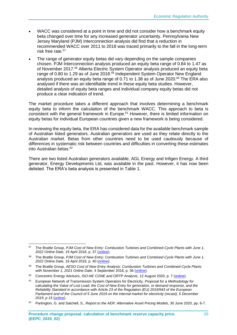- WACC was considered at a point in time and did not consider how a benchmark equity beta changed over time for any increased generator uncertainty. Pennsylvania New Jersey Maryland (PJM) Interconnection analysis did find that a reduction in recommended WACC over 2011 to 2018 was traced primarily to the fall in the long-term risk free rate.<sup>57</sup>
- The range of generator equity betas did vary depending on the sample companies chosen. PJM Interconnection analysis produced an equity beta range of 0.84 to 1.47 as of November 2017.<sup>58</sup> Alberta Electric System Operator analysis produced an equity beta range of 0.80 to 1.29 as of June 2018.<sup>59</sup> Independent System Operator New England analysis produced an equity beta range of 0.71 to 1.38 as of June 2020. <sup>60</sup> The ERA also analysed if there was an identifiable trend in these equity beta studies. However, detailed analysis of equity beta ranges and individual company equity betas did not produce a clear indication of trend.

The market procedure takes a different approach that involves determining a benchmark equity beta to inform the calculation of the benchmark WACC. This approach to beta is consistent with the general framework in Europe.<sup>61</sup> However, there is limited information on equity betas for individual European countries given a new framework is being considered.

In reviewing the equity beta, the ERA has considered data for the available benchmark sample of Australian listed generators. Australian generators are used as they relate directly to the Australian market. Betas from other countries need to be used cautiously because of differences in systematic risk between countries and difficulties in converting these estimates into Australian betas.<sup>62</sup>

There are two listed Australian generators available, AGL Energy and Infigen Energy. A third generator, Energy Developments Ltd, was available in the past. However, it has now been delisted. The ERA's beta analysis is presented in [Table 1.](#page-23-1)

<sup>57</sup> The Brattle Group, *PJM Cost of New Entry: Combustion Turbines and Combined-Cycle Plants with June 1, 2022 Online Date,* 19 April 2018, p. 37 [\(online\)](https://www.pjm.com/~/media/committees-groups/committees/mic/20180425-special/20180425-pjm-2018-cost-of-new-entry-study.ashx).

<sup>58</sup> The Brattle Group, *PJM Cost of New Entry: Combustion Turbines and Combined-Cycle Plants with June 1, 2022 Online Date,* 19 April 2018, p. 40 [\(online\)](https://www.pjm.com/~/media/committees-groups/committees/mic/20180425-special/20180425-pjm-2018-cost-of-new-entry-study.ashx).

<sup>59</sup> The Brattle Group, *AESO Cost of New Entry Analysis: Combustion Turbines and Combined-Cycle Plants with November 1, 2021 Online Date*, 4 September 2018, p. 36 [\(online\)](https://www.aeso.ca/assets/Uploads/CONE-Study-2018-09-04.pdf).

<sup>60</sup> Concentric Energy Advisors, *ISO-NE CONE and ORTP Analysis,* 12 August 2020, p. 7 [\(online\)](https://www.iso-ne.com/static-assets/documents/2020/08/a4_a_iii_cea_presentation_cone_and_ortp_analysis.pdf).

<sup>61</sup> European Network of Transmission System Operators for Electricity, *Proposal for a Methodology for calculating the Value of Lost Load, the Cost of New Entry for generation, or demand response, and the Reliability Standard in accordance with Article 23 of the Regulation (EU) 2019/943 of the European Parliament and of the Council of 5 June 2019 on the internal market for electricity (recast), 5 December 2019, p 15* [\(online\)](https://consultations.entsoe.eu/entso-e-general/proposal-for-voll-cone-and-reliability-standard-me/supporting_documents/191205_Methodology%20for%20VoLL%20CONE%20and%20reliability%20standard_public%20consultation.pdf)*.*

<sup>62</sup> Partington, G. and Satchell, S., *Report to the AER: Alternative Asset Pricing Models,* 30 June 2020, pp. 6-7.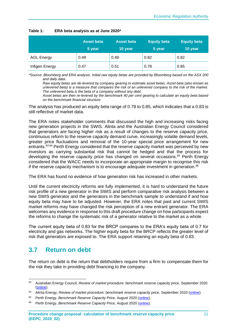|                   | <b>Asset beta</b><br>5 year | <b>Asset beta</b><br>10 year | <b>Equity beta</b><br>5 year | <b>Equity beta</b><br>10 year |
|-------------------|-----------------------------|------------------------------|------------------------------|-------------------------------|
| <b>AGL Energy</b> | 0.49                        | 0.49                         | 0.82                         | 0.82                          |
| Infigen Energy    | 0.47                        | 0.51                         | 0.78                         | 0.85                          |

#### <span id="page-23-1"></span>**Table 1: ERA beta analysis as at June 2020\***

*\*Source: Bloomberg and ERA analysis. Initial raw equity betas are provided by Bloomberg based on the ASX 200 and daily data.*

*Raw equity betas are de-levered by company gearing to estimate asset betas. Asset beta (also known as unlevered beta) is a measure that compares the risk of an unlevered company to the risk of the market. The unlevered beta is the beta of a company without any debt.*

*Asset betas are then re-levered by the benchmark 40 per cent gearing to calculate an equity beta based on the benchmark financial structure.*

The analysis has produced an equity beta range of 0.78 to 0.85, which indicates that a 0.83 is still reflective of market data.

The ERA notes stakeholder comments that discussed the high and increasing risks facing new generation projects in the SWIS. Alinta and the Australian Energy Council considered that generators are facing higher risk as a result of changes to the reserve capacity price, continuous reform to the reserve capacity demand curve, increasingly volatile demand levels, greater price fluctuations and removal of the 10-year special price arrangement for new entrants.<sup>63 64</sup> Perth Energy considered that the reserve capacity market was perceived by new investors as carrying substantial risk that cannot be hedged and that the process for developing the reserve capacity price has changed on several occasions.<sup>65</sup> Perth Energy considered that the WACC needs to incorporate an appropriate margin to recognise this risk if the reserve capacity mechanism is to encourage adequate investment in generation.<sup>66</sup>

The ERA has found no evidence of how generation risk has increased in other markets.

Until the current electricity reforms are fully implemented, it is hard to understand the future risk profile of a new generator in the SWIS and perform comparative risk analysis between a new SWIS generator and the generators in the benchmark sample to understand if and how equity beta may have to be adjusted. However, the ERA notes that past and current SWIS market reforms may have changed the risk perception of a new entrant generator. The ERA welcomes any evidence in response to this draft procedure change on how participants expect the reforms to change the systematic risk of a generator relative to the market as a whole.

The current equity beta of 0.83 for the BRCP compares to the ERA's equity beta of 0.7 for electricity and gas networks. The higher equity beta for the BRCP reflects the greater level of risk that generators are exposed to. The ERA support retaining an equity beta of 0.83.

# <span id="page-23-0"></span>**3.7 Return on debt**

The return on debt is the return that debtholders require from a firm to compensate them for the risk they take in providing debt financing to the company.

<sup>63</sup> Australian Energy Council, *Review of market procedure: benchmark reserve capacity price,* September 2020 [\(online\)](https://www.erawa.com.au/cproot/21423/2/AEC-feedback-on-the-BRCP.pdf).

<sup>64</sup> Alinta Energy, *Review of market procedure: benchmark reserve capacity price,* September 2020 [\(online\)](https://www.erawa.com.au/cproot/21425/2/Alinta-Energy-submission---ERA-BRCP-Market-Procedure-Review_Redacted.pdf).

<sup>65</sup> Perth Energy, *Benchmark Reserve Capacity Price,* August 2020 [\(online\)](https://www.erawa.com.au/cproot/21416/2/2020-Aug-26---Perth-Energy-Submission-on-BRCP_Redacted.pdf).

<sup>66</sup> Perth Energy, *Benchmark Reserve Capacity Price,* August 2020 [\(online\)](https://www.erawa.com.au/cproot/21416/2/2020-Aug-26---Perth-Energy-Submission-on-BRCP_Redacted.pdf).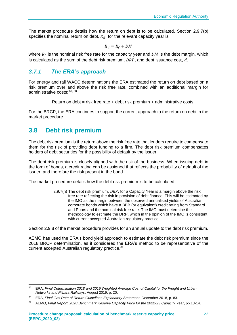The market procedure details how the return on debt is to be calculated. Section 2.9.7(b) specifies the nominal return on debt,  $R_d$ , for the relevant capacity year is:

$$
R_d = R_f + DM
$$

where  $R_f$  is the nominal risk free rate for the capacity year and DM is the debt margin, which is calculated as the sum of the debt risk premium,  $DRP$ , and debt issuance cost,  $d$ .

### <span id="page-24-0"></span>*3.7.1 The ERA's approach*

For energy and rail WACC determinations the ERA estimated the return on debt based on a risk premium over and above the risk free rate, combined with an additional margin for administrative costs: 67, 68

Return on debt = risk free rate + debt risk premium + administrative costs

For the BRCP, the ERA continues to support the current approach to the return on debt in the market procedure.

# <span id="page-24-1"></span>**3.8 Debt risk premium**

The debt risk premium is the return above the risk free rate that lenders require to compensate them for the risk of providing debt funding to a firm. The debt risk premium compensates holders of debt securities for the possibility of default by the issuer.

The debt risk premium is closely aligned with the risk of the business. When issuing debt in the form of bonds, a credit rating can be assigned that reflects the probability of default of the issuer, and therefore the risk present in the bond.

The market procedure details how the debt risk premium is to be calculated.

2.9.7(h) The debt risk premium,  $DRP$ , for a Capacity Year is a margin above the risk free rate reflecting the risk in provision of debt finance. This will be estimated by the IMO as the margin between the observed annualised yields of Australian corporate bonds which have a BBB (or equivalent) credit rating from Standard and Poors and the nominal risk free rate. The IMO must determine the methodology to estimate the DRP, which in the opinion of the IMO is consistent with current accepted Australian regulatory practice.

Section 2.9.8 of the market procedure provides for an annual update to the debt risk premium.

AEMO has used the ERA's bond yield approach to estimate the debt risk premium since the 2018 BRCP determination, as it considered the ERA's method to be representative of the current accepted Australian regulatory practice.<sup>69</sup>

<sup>67</sup> ERA, *Final Determination 2018 and 2019 Weighted Average Cost of Capital for the Freight and Urban Networks and Pilbara Railways*, August 2019, p. 20.

<sup>68</sup> ERA, *Final Gas Rate of Return Guidelines Explanatory Statement*, December 2018, p. 83.

<sup>69</sup> AEMO, *Final Report: 2020 Benchmark Reserve Capacity Price for the 2022-23 Capacity Year*, pp.13-14.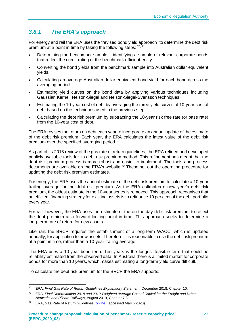## <span id="page-25-0"></span>*3.8.1 The ERA's approach*

For energy and rail the ERA uses the "revised bond yield approach" to determine the debt risk premium at a point in time by taking the following steps:  $70,71$ 

- Determining the benchmark sample identifying a sample of relevant corporate bonds that reflect the credit rating of the benchmark efficient entity.
- Converting the bond yields from the benchmark sample into Australian dollar equivalent yields.
- Calculating an average Australian dollar equivalent bond yield for each bond across the averaging period.
- Estimating yield curves on the bond data by applying various techniques including Gaussian Kernel, Nelson-Siegel and Nelson-Siegel-Svensson techniques.
- Estimating the 10-year cost of debt by averaging the three yield curves of 10-year cost of debt based on the techniques used in the previous step.
- Calculating the debt risk premium by subtracting the 10-year risk free rate (or base rate) from the 10-year cost of debt.

The ERA revises the return on debt each year to incorporate an annual update of the estimate of the debt risk premium. Each year, the ERA calculates the latest value of the debt risk premium over the specified averaging period.

As part of its 2018 review of the gas rate of return guidelines, the ERA refined and developed publicly available tools for its debt risk premium method. This refinement has meant that the debt risk premium process is more robust and easier to implement. The tools and process documents are available on the ERA's website.<sup>72</sup> These set out the operating procedure for updating the debt risk premium estimates.

For energy, the ERA uses the annual estimate of the debt risk premium to calculate a 10-year trailing average for the debt risk premium. As the ERA estimates a new year's debt risk premium, the oldest estimate in the 10-year series is removed. This approach recognises that an efficient financing strategy for existing assets is to refinance 10 per cent of the debt portfolio every year.

For rail, however, the ERA uses the estimate of the on-the-day debt risk premium to reflect the debt premium at a forward-looking point in time. This approach seeks to determine a long-term rate of return for new assets.

Like rail, the BRCP requires the establishment of a long-term WACC, which is updated annually, for application to new assets. Therefore, it is reasonable to use the debt risk premium at a point in time, rather than a 10-year trailing average.

The ERA uses a 10-year bond term. Ten years is the longest feasible term that could be reliability estimated from the observed data. In Australia there is a limited market for corporate bonds for more than 10 years, which makes estimating a long-term yield curve difficult.

To calculate the debt risk premium for the BRCP the ERA supports:

<sup>70</sup> ERA, *Final Gas Rate of Return Guidelines Explanatory Statement*, December 2018, Chapter 10.

<sup>71</sup> ERA, *Final Determination 2018 and 2019 Weighted Average Cost of Capital for the Freight and Urban Networks and Pilbara Railways*, August 2019, Chapter 7.3.

<sup>&</sup>lt;sup>72</sup> ERA, Gas Rate of Return Guidelines [\(online\)](https://www.erawa.com.au/gas/gas-access/guidelines/gas-rate-of-return-guidelines) (accessed March 2020).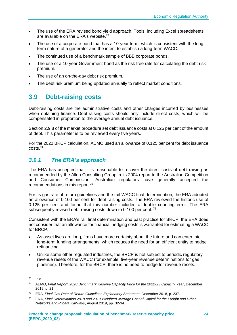- The use of the ERA revised bond yield approach. Tools, including Excel spreadsheets, are available on the ERA's website.<sup>73</sup>
- The use of a corporate bond that has a 10-year term, which is consistent with the longterm nature of a generator and the intent to establish a long-term WACC.
- The continued use of a benchmark sample of BBB corporate bonds.
- The use of a 10-year Government bond as the risk free rate for calculating the debt risk premium.
- The use of an on-the-day debt risk premium.
- The debt risk premium being updated annually to reflect market conditions.

# <span id="page-26-0"></span>**3.9 Debt-raising costs**

Debt-raising costs are the administrative costs and other charges incurred by businesses when obtaining finance. Debt-raising costs should only include direct costs, which will be compensated in proportion to the average annual debt issuance.

Section 2.9.8 of the market procedure set debt issuance costs at 0.125 per cent of the amount of debt. This parameter is to be reviewed every five years.

For the 2020 BRCP calculation, AEMO used an allowance of 0.125 per cent for debt issuance costs.<sup>74</sup>

### <span id="page-26-1"></span>*3.9.1 The ERA's approach*

The ERA has accepted that it is reasonable to recover the direct costs of debt-raising as recommended by the Allen Consulting Group in its 2004 report to the Australian Competition and Consumer Commission. Australian regulators have generally accepted the recommendations in this report.<sup>75</sup>

For its gas rate of return guidelines and the rail WACC final determination, the ERA adopted an allowance of 0.100 per cent for debt-raising costs. The ERA reviewed the historic use of 0.125 per cent and found that this number included a double counting error. The ERA subsequently revised debt-raising costs down to 0.100 per cent.<sup>76</sup>

Consistent with the ERA's rail final determination and past practice for BRCP, the ERA does not consider that an allowance for financial hedging costs is warranted for estimating a WACC for BRCP.

- As asset lives are long, firms have more certainty about the future and can enter into long-term funding arrangements, which reduces the need for an efficient entity to hedge refinancing.
- Unlike some other regulated industries, the BRCP is not subject to periodic regulatory revenue resets of the WACC (for example, five-year revenue determinations for gas pipelines). Therefore, for the BRCP, there is no need to hedge for revenue resets.

<sup>73</sup> Ibid.

<sup>74</sup> AEMO, *Final Report: 2020 Benchmark Reserve Capacity Price for the 2022-23 Capacity Year*, December 2019, p. 21.

<sup>75</sup> ERA, *Final Gas Rate of Return Guidelines Explanatory Statement*, December 2018, p. 237.

<sup>76</sup> ERA, *Final Determination 2018 and 2019 Weighted Average Cost of Capital for the Freight and Urban Networks and Pilbara Railways*, August 2019, pp. 32-34.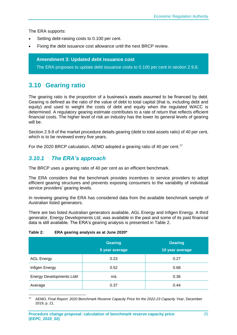The ERA supports:

- Setting debt-raising costs to 0.100 per cent.
- Fixing the debt issuance cost allowance until the next BRCP review.

**Amendment 3: Updated debt issuance cost**

The ERA proposes to update debt issuance costs to 0.100 per cent in section 2.9.8.

# <span id="page-27-0"></span>**3.10 Gearing ratio**

The gearing ratio is the proportion of a business's assets assumed to be financed by debt. Gearing is defined as the ratio of the value of debt to total capital (that is, including debt and equity) and used to weight the costs of debt and equity when the requiated WACC is determined. A regulatory gearing estimate contributes to a rate of return that reflects efficient financial costs. The higher level of risk an industry has the lower its general levels of gearing will be.

Section 2.9.8 of the market procedure details gearing (debt to total assets ratio) of 40 per cent, which is to be reviewed every five years.

For the 2020 BRCP calculation, AEMO adopted a gearing ratio of 40 per cent.<sup>77</sup>

### <span id="page-27-1"></span>*3.10.1 The ERA's approach*

The BRCP uses a gearing ratio of 40 per cent as an efficient benchmark.

The ERA considers that the benchmark provides incentives to service providers to adopt efficient gearing structures and prevents exposing consumers to the variability of individual service providers' gearing levels.

In reviewing gearing the ERA has considered data from the available benchmark sample of Australian listed generators.

There are two listed Australian generators available, AGL Energy and Infigen Energy. A third generator, Energy Developments Ltd, was available in the past and some of its past financial data is still available. The ERA's gearing analysis is presented in [Table 2.](#page-27-2)

#### <span id="page-27-2"></span>**Table 2: ERA gearing analysis as at June 2020\***

|                          | <b>Gearing</b><br>5 year average | <b>Gearing</b><br>10 year average |
|--------------------------|----------------------------------|-----------------------------------|
| <b>AGL Energy</b>        | 0.23                             | 0.27                              |
| Infigen Energy           | 0.52                             | 0.68                              |
| Energy Developments Ltd# | n/a                              | 0.36                              |
| Average                  | 0.37                             | 0.44                              |

<sup>77</sup> AEMO, *Final Report: 2020 Benchmark Reserve Capacity Price for the 2022-23 Capacity Year*, December 2019, p. 21.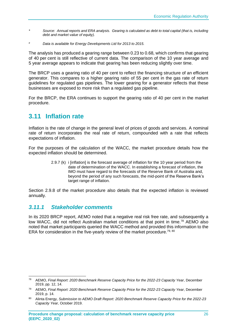- *\* Source: Annual reports and ERA analysis. Gearing is calculated as debt to total capital (that is, including debt and market value of equity).*
- *# Data is available for Energy Developments Ltd for 2013 to 2015.*

The analysis has produced a gearing range between 0.23 to 0.68, which confirms that gearing of 40 per cent is still reflective of current data. The comparison of the 10 year average and 5 year average appears to indicate that gearing has been reducing slightly over time.

The BRCP uses a gearing ratio of 40 per cent to reflect the financing structure of an efficient generator. This compares to a higher gearing ratio of 55 per cent in the gas rate of return guidelines for regulated gas pipelines. The lower gearing for a generator reflects that these businesses are exposed to more risk than a regulated gas pipeline.

For the BRCP, the ERA continues to support the gearing ratio of 40 per cent in the market procedure.

# <span id="page-28-0"></span>**3.11 Inflation rate**

Inflation is the rate of change in the general level of prices of goods and services. A nominal rate of return incorporates the real rate of return, compounded with a rate that reflects expectations of inflation.

For the purposes of the calculation of the WACC, the market procedure details how the expected inflation should be determined.

> 2.9.7 (k) i [inflation] is the forecast average of inflation for the 10 year period from the date of determination of the WACC. In establishing a forecast of inflation, the IMO must have regard to the forecasts of the Reserve Bank of Australia and, beyond the period of any such forecasts, the mid-point of the Reserve Bank's target range of inflation.

Section 2.9.8 of the market procedure also details that the expected inflation is reviewed annually.

### <span id="page-28-1"></span>*3.11.1 Stakeholder comments*

In its 2020 BRCP report, AEMO noted that a negative real risk free rate, and subsequently a low WACC, did not reflect Australian market conditions at that point in time.<sup>78</sup> AEMO also noted that market participants queried the WACC method and provided this information to the ERA for consideration in the five-yearly review of the market procedure.<sup>79, 80</sup>

<sup>78</sup> AEMO, *Final Report: 2020 Benchmark Reserve Capacity Price for the 2022-23 Capacity Year*, December 2019, pp. 12, 14.

<sup>79</sup> AEMO, *Final Report: 2020 Benchmark Reserve Capacity Price for the 2022-23 Capacity Year*, December 2019, p. 14.

<sup>80</sup> Alinta Energy, *Submission to AEMO Draft Report: 2020 Benchmark Reserve Capacity Price for the 2022-23 Capacity Year,* October 2019.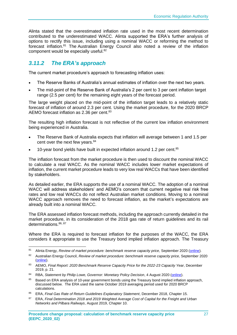Alinta stated that the overestimated inflation rate used in the most recent determination contributed to the underestimated WACC. Alinta supported the ERA's further analysis of options to rectify this issue, including using a nominal WACC or reforming the method to forecast inflation.<sup>81</sup> The Australian Energy Council also noted a review of the inflation component would be especially useful.<sup>82</sup>

### <span id="page-29-0"></span>*3.11.2 The ERA's approach*

The current market procedure's approach to forecasting inflation uses:

- The Reserve Banks of Australia's annual estimates of inflation over the next two years.
- The mid-point of the Reserve Bank of Australia's 2 per cent to 3 per cent inflation target range (2.5 per cent) for the remaining eight years of the forecast period.

The large weight placed on the mid-point of the inflation target leads to a relatively static forecast of inflation of around 2.3 per cent. Using the market procedure, for the 2020 BRCP AEMO forecast inflation as 2.36 per cent.<sup>83</sup>

The resulting high inflation forecast is not reflective of the current low inflation environment being experienced in Australia.

- The Reserve Bank of Australia expects that inflation will average between 1 and 1.5 per cent over the next few years.<sup>84</sup>
- 10-year bond yields have built in expected inflation around 1.2 per cent.<sup>85</sup>

The inflation forecast from the market procedure is then used to discount the nominal WACC to calculate a real WACC. As the nominal WACC includes lower market expectations of inflation, the current market procedure leads to very low real WACCs that have been identified by stakeholders.

As detailed earlier, the ERA supports the use of a nominal WACC. The adoption of a nominal WACC will address stakeholders' and AEMO's concern that current negative real risk free rates and low real WACCs do not reflect Australian market conditions. Moving to a nominal WACC approach removes the need to forecast inflation, as the market's expectations are already built into a nominal WACC.

The ERA assessed inflation forecast methods, including the approach currently detailed in the market procedure, in its consideration of the 2018 gas rate of return guidelines and its rail determinations.<sup>86, 87</sup>

Where the ERA is required to forecast inflation for the purposes of the WACC, the ERA considers it appropriate to use the Treasury bond implied inflation approach. The Treasury

<sup>81</sup> Alinta Energy, *Review of market procedure: benchmark reserve capacity price*, September 2020 [\(online\)](https://www.erawa.com.au/cproot/21425/2/Alinta-Energy-submission---ERA-BRCP-Market-Procedure-Review_Redacted.pdf).

<sup>82</sup> Australian Energy Council, *Review of market procedure: benchmark reserve capacity price*, September 2020 [\(online\)](https://www.erawa.com.au/cproot/21423/2/AEC-feedback-on-the-BRCP.pdf).

<sup>83</sup> AEMO, *Final Report: 2020 Benchmark Reserve Capacity Price for the 2022-23 Capacity Year*, December 2019, p. 21.

<sup>84</sup> RBA, *Statement by Philip Lowe, Governor: Monetary Policy Decision*, 4 August 2020 (*online*).

<sup>85</sup> Based on ERA analysis of 10-year government bonds using the Treasury bond implied inflation approach, discussed below. The ERA used the same October 2019 averaging period used for 2020 BRCP calculations.

<sup>86</sup> ERA, *Final Gas Rate of Return Guidelines Explanatory Statement*, December 2018, Chapter 15.

<sup>87</sup> ERA, *Final Determination 2018 and 2019 Weighted Average Cost of Capital for the Freight and Urban Networks and Pilbara Railways*, August 2019, Chapter 10.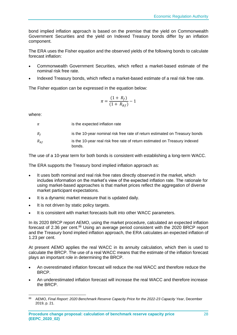bond implied inflation approach is based on the premise that the yield on Commonwealth Government Securities and the yield on Indexed Treasury bonds differ by an inflation component.

The ERA uses the Fisher equation and the observed yields of the following bonds to calculate forecast inflation:

- Commonwealth Government Securities, which reflect a market-based estimate of the nominal risk free rate.
- Indexed Treasury bonds, which reflect a market-based estimate of a real risk free rate.

The Fisher equation can be expressed in the equation below:

$$
\pi = \frac{(1 + R_f)}{(1 + R_{Rf})} - 1
$$

where:

| π        | is the expected inflation rate                                                       |
|----------|--------------------------------------------------------------------------------------|
| $R_f$    | is the 10-year nominal risk free rate of return estimated on Treasury bonds          |
| $R_{Rf}$ | is the 10-year real risk free rate of return estimated on Treasury indexed<br>bonds. |

The use of a 10-year term for both bonds is consistent with establishing a long-term WACC.

The ERA supports the Treasury bond implied inflation approach as:

- It uses both nominal and real risk free rates directly observed in the market, which includes information on the market's view of the expected inflation rate. The rationale for using market-based approaches is that market prices reflect the aggregation of diverse market participant expectations.
- It is a dynamic market measure that is updated daily.
- It is not driven by static policy targets.
- It is consistent with market forecasts built into other WACC parameters.

In its 2020 BRCP report AEMO, using the market procedure, calculated an expected inflation forecast of 2.36 per cent.<sup>88</sup> Using an average period consistent with the 2020 BRCP report and the Treasury bond implied inflation approach, the ERA calculates an expected inflation of 1.23 per cent.

At present AEMO applies the real WACC in its annuity calculation, which then is used to calculate the BRCP. The use of a real WACC means that the estimate of the inflation forecast plays an important role in determining the BRCP.

- An overestimated inflation forecast will reduce the real WACC and therefore reduce the BRCP.
- An underestimated inflation forecast will increase the real WACC and therefore increase the BRCP.

<sup>88</sup> AEMO, *Final Report: 2020 Benchmark Reserve Capacity Price for the 2022-23 Capacity Year*, December 2019, p. 21.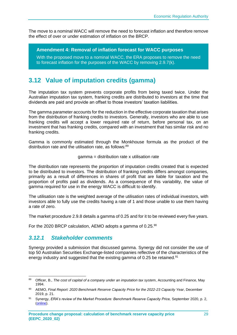The move to a nominal WACC will remove the need to forecast inflation and therefore remove the effect of over or under estimation of inflation on the BRCP.

**Amendment 4: Removal of inflation forecast for WACC purposes**

With the proposed move to a nominal WACC, the ERA proposes to remove the need to forecast inflation for the purposes of the WACC by removing 2.9.7(k).

# <span id="page-31-0"></span>**3.12 Value of imputation credits (gamma)**

The imputation tax system prevents corporate profits from being taxed twice. Under the Australian imputation tax system, franking credits are distributed to investors at the time that dividends are paid and provide an offset to those investors' taxation liabilities.

The gamma parameter accounts for the reduction in the effective corporate taxation that arises from the distribution of franking credits to investors. Generally, investors who are able to use franking credits will accept a lower required rate of return, before personal tax, on an investment that has franking credits, compared with an investment that has similar risk and no franking credits.

Gamma is commonly estimated through the Monkhouse formula as the product of the distribution rate and the utilisation rate, as follows:<sup>89</sup>

#### gamma = distribution rate x utilisation rate

The distribution rate represents the proportion of imputation credits created that is expected to be distributed to investors. The distribution of franking credits differs amongst companies, primarily as a result of differences in shares of profit that are liable for taxation and the proportion of profits paid as dividends. As a consequence of this variability, the value of gamma required for use in the energy WACC is difficult to identify.

The utilisation rate is the weighted average of the utilisation rates of individual investors, with investors able to fully use the credits having a rate of 1 and those unable to use them having a rate of zero.

The market procedure 2.9.8 details a gamma of 0.25 and for it to be reviewed every five years.

For the 2020 BRCP calculation, AEMO adopts a gamma of 0.25.<sup>90</sup>

### <span id="page-31-1"></span>*3.12.1 Stakeholder comments*

Synergy provided a submission that discussed gamma. Synergy did not consider the use of top 50 Australian Securities Exchange-listed companies reflective of the characteristics of the energy industry and suggested that the existing gamma of 0.25 be retained.<sup>91</sup>

<sup>89</sup> Officer, B., *The cost of capital of a company under an imputation tax syste*m, Accounting and Finance, May 1994.

<sup>90</sup> AEMO, *Final Report: 2020 Benchmark Reserve Capacity Price for the 2022-23 Capacity Year*, December 2019, p. 21.

<sup>91</sup> Synergy, *ERA's review of the Market Procedure: Benchmark Reserve Capacity Price, September 2020, p. 2,* [\(online\)](https://www.erawa.com.au/cproot/21424/2/Synergy-feedback-on-the-BRCP.pdf).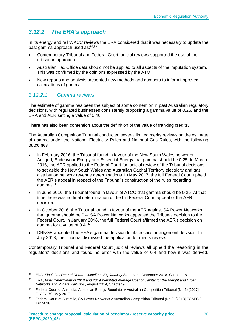# <span id="page-32-0"></span>*3.12.2 The ERA's approach*

In its energy and rail WACC reviews the ERA considered that it was necessary to update the past gamma approach used as:92,93

- Contemporary Tribunal and Federal Court judicial reviews supported the use of the utilisation approach.
- Australian Tax Office data should not be applied to all aspects of the imputation system. This was confirmed by the opinions expressed by the ATO.
- New reports and analysis presented new methods and numbers to inform improved calculations of gamma.

### *3.12.2.1 Gamma reviews*

The estimate of gamma has been the subject of some contention in past Australian regulatory decisions, with regulated businesses consistently proposing a gamma value of 0.25, and the ERA and AER setting a value of 0.40.

There has also been contention about the definition of the value of franking credits.

The Australian Competition Tribunal conducted several limited merits reviews on the estimate of gamma under the National Electricity Rules and National Gas Rules, with the following outcomes:

- In February 2016, the Tribunal found in favour of the New South Wales networks Ausgrid, Endeavour Energy and Essential Energy that gamma should be 0.25. In March 2016, the AER applied to the Federal Court for judicial review of the Tribunal decisions to set aside the New South Wales and Australian Capital Territory electricity and gas distribution network revenue determinations. In May 2017, the full Federal Court upheld the AER's appeal in respect of the Tribunal's construction of the rules regarding gamma.<sup>94</sup>
- In June 2016, the Tribunal found in favour of ATCO that gamma should be 0.25. At that time there was no final determination of the full Federal Court appeal of the AER decision.
- In October 2016, the Tribunal found in favour of the AER against SA Power Networks, that gamma should be 0.4. SA Power Networks appealed the Tribunal decision to the Federal Court. In January 2018, the full Federal Court affirmed the AER's decision on gamma for a value of 0.4.<sup>95</sup>
- DBNGP appealed the ERA's gamma decision for its access arrangement decision. In July 2018, the Tribunal dismissed the application for merits review.

Contemporary Tribunal and Federal Court judicial reviews all upheld the reasoning in the regulators' decisions and found no error with the value of 0.4 and how it was derived.

<sup>92</sup> ERA, *Final Gas Rate of Return Guidelines Explanatory Statement*, December 2018, Chapter 16.

<sup>93</sup> ERA, *Final Determination 2018 and 2019 Weighted Average Cost of Capital for the Freight and Urban Networks and Pilbara Railways*, August 2019, Chapter 9.

<sup>94</sup> Federal Court of Australia, Australian Energy Regulator v Australian Competition Tribunal (No 2) [2017] FCAFC 79, May 2017.

<sup>95</sup> Federal Court of Australia, SA Power Networks v Australian Competition Tribunal (No 2) [2018] FCAFC 3, Jan 2018.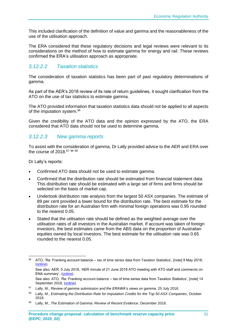This included clarification of the definition of value and gamma and the reasonableness of the use of the utilisation approach.

The ERA considered that these regulatory decisions and legal reviews were relevant to its considerations on the method of how to estimate gamma for energy and rail. These reviews confirmed the ERA's utilisation approach as appropriate.

### *3.12.2.2 Taxation statistics*

The consideration of taxation statistics has been part of past regulatory determinations of gamma.

As part of the AER's 2018 review of its rate of return guidelines, it sought clarification from the ATO on the use of tax statistics to estimate gamma.

The ATO provided information that taxation statistics data should not be applied to all aspects of the imputation system.<sup>96</sup>

Given the credibility of the ATO data and the opinion expressed by the ATO, the ERA considered that ATO data should not be used to determine gamma.

### *3.12.2.3 New gamma reports*

To assist with the consideration of gamma, Dr Lally provided advice to the AER and ERA over the course of 2018.<sup>97 98 99</sup>

Dr Lally's reports:

- Confirmed ATO data should not be used to estimate gamma.
- Confirmed that the distribution rate should be estimated from financial statement data. This distribution rate should be estimated with a large set of firms and firms should be selected on the basis of market cap.
- Undertook distribution rate analysis from the largest 50 ASX companies. The estimate of 89 per cent provided a lower bound for the distribution rate. The best estimate for the distribution rate for an Australian firm with minimal foreign operations was 0.95 rounded to the nearest 0.05.
- Stated that the utilisation rate should be defined as the weighted average over the utilisation rates of all investors in the Australian market. If account was taken of foreign investors, the best estimates came from the ABS data on the proportion of Australian equities owned by local investors. The best estimate for the utilisation rate was 0.65 rounded to the nearest 0.05.

<sup>96</sup> ATO, 'Re: Franking account balance – tax of time series data from Taxation Statistics', [note] 9 May 2018, [\(online\)](https://www.aer.gov.au/system/files/ATO%20Note%20to%20AER%20regarding%20imputation%20-%209%20May%202018.pdf).

See also: AER, 5 July 2018, 'AER minute of 21 June 2018 ATO meeting with ATO staff and comments on ENA summary', [\(online\)](https://www.aer.gov.au/system/files/AER%20-%20Minute%20of%2021%20June%202018%20meeting%20with%20ATO%20and%20comments%20on%20ENA%20summary%20-%205%20July%202018_1.DOCX).

See also: ATO, 'Re: Franking account balance – tax of time series data from Taxation Statistics', [note] 14 September 2018, [\(online\)](https://www.aer.gov.au/system/files/ATO%20Note%20-%20Clarification%20of%20points%20in%20previous%20ATO%20note%20dated%209%20May%202018%20titled%20%E2%80%98ATO%20note%20to%20the%20AER%20regarding%20imputation%27%20-%2014%20September%202018.pdf).

<sup>97</sup> Lally, M., *Review of gamma submission and the ERAWA's views on gamma, 25 July 2018.* 

<sup>98</sup> Lally, M., *Estimating the Distribution Rate for Imputation Credits for the Top 50 ASX Companies*, October 2018.

<sup>99</sup> Lally, M., *The Estimation of Gamma: Review of Recent Evidence*, December 2018.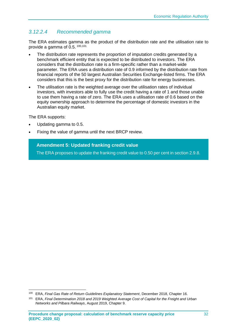## *3.12.2.4 Recommended gamma*

The ERA estimates gamma as the product of the distribution rate and the utilisation rate to provide a gamma of  $0.5$ .  $100,101$ 

- The distribution rate represents the proportion of imputation credits generated by a benchmark efficient entity that is expected to be distributed to investors. The ERA considers that the distribution rate is a firm-specific rather than a market-wide parameter. The ERA uses a distribution rate of 0.9 informed by the distribution rate from financial reports of the 50 largest Australian Securities Exchange-listed firms. The ERA considers that this is the best proxy for the distribution rate for energy businesses.
- The utilisation rate is the weighted average over the utilisation rates of individual investors, with investors able to fully use the credit having a rate of 1 and those unable to use them having a rate of zero. The ERA uses a utilisation rate of 0.6 based on the equity ownership approach to determine the percentage of domestic investors in the Australian equity market.

The ERA supports:

- Updating gamma to 0.5.
- Fixing the value of gamma until the next BRCP review.

### **Amendment 5: Updated franking credit value**

The ERA proposes to update the franking credit value to 0.50 per cent in section 2.9.8.

<sup>100</sup> ERA, *Final Gas Rate of Return Guidelines Explanatory Statement*, December 2018, Chapter 16.

<sup>101</sup> ERA, *Final Determination 2018 and 2019 Weighted Average Cost of Capital for the Freight and Urban Networks and Pilbara Railways*, August 2019, Chapter 9.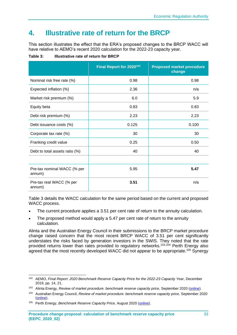# <span id="page-35-0"></span>**4. Illustrative rate of return for the BRCP**

This section illustrates the effect that the ERA's proposed changes to the BRCP WACC will have relative to AEMO's recent 2020 calculation for the 2022-23 capacity year.

<span id="page-35-1"></span>**Table 3: Illustrative rate of return for BRCP**

|                                       | Final Report for 2020 <sup>102</sup> | <b>Proposed market procedure</b><br>change |
|---------------------------------------|--------------------------------------|--------------------------------------------|
| Nominal risk free rate (%)            | 0.98                                 | 0.98                                       |
| Expected inflation (%)                | 2.36                                 | n/a                                        |
| Market risk premium (%)               | 6.0                                  | 5.9                                        |
| Equity beta                           | 0.83                                 | 0.83                                       |
| Debt risk premium (%)                 | 2.23                                 | 2.23                                       |
| Debt issuance costs (%)               | 0.125                                | 0.100                                      |
| Corporate tax rate (%)                | 30                                   | 30                                         |
| Franking credit value                 | 0.25                                 | 0.50                                       |
| Debt to total assets ratio (%)        | 40                                   | 40                                         |
|                                       |                                      |                                            |
| Pre-tax nominal WACC (% per<br>annum) | 5.95                                 | 5.47                                       |
| Pre-tax real WACC (% per<br>annum)    | 3.51                                 | n/a                                        |

[Table 3](#page-35-1) details the WACC calculation for the same period based on the current and proposed WACC process.

- The current procedure applies a 3.51 per cent rate of return to the annuity calculation.
- The proposed method would apply a 5.47 per cent rate of return to the annuity calculation.

Alinta and the Australian Energy Council in their submissions to the BRCP market procedure change raised concern that the most recent BRCP WACC of 3.51 per cent significantly understates the risks faced by generation investors in the SWIS. They noted that the rate provided returns lower than rates provided to regulatory networks.<sup>103,104</sup> Perth Energy also agreed that the most recently developed WACC did not appear to be appropriate.<sup>105</sup> Synergy

<sup>102</sup> AEMO, *Final Report: 2020 Benchmark Reserve Capacity Price for the 2022-23 Capacity Year*, December 2019, pp. 14, 21.

<sup>103</sup> Alinta Energy, *Review of market procedure: benchmark reserve capacity price, September 2020* [\(online\)](https://www.erawa.com.au/cproot/21425/2/Alinta-Energy-submission---ERA-BRCP-Market-Procedure-Review_Redacted.pdf).

<sup>104</sup> Australian Energy Council, *Review of market procedure: benchmark reserve capacity price,* September 2020 [\(online\)](https://www.erawa.com.au/cproot/21423/2/AEC-feedback-on-the-BRCP.pdf).

<sup>105</sup> Perth Energy, *Benchmark Reserve Capacity Price,* August 2020 [\(online\)](https://www.erawa.com.au/cproot/21416/2/2020-Aug-26---Perth-Energy-Submission-on-BRCP_Redacted.pdf).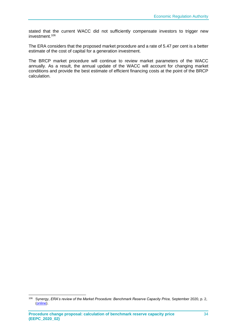stated that the current WACC did not sufficiently compensate investors to trigger new investment.<sup>106</sup>

The ERA considers that the proposed market procedure and a rate of 5.47 per cent is a better estimate of the cost of capital for a generation investment.

The BRCP market procedure will continue to review market parameters of the WACC annually. As a result, the annual update of the WACC will account for changing market conditions and provide the best estimate of efficient financing costs at the point of the BRCP calculation.

<sup>106</sup> Synergy, *ERA's review of the Market Procedure: Benchmark Reserve Capacity Price, September 2020, p. 2,* [\(online\)](https://www.erawa.com.au/cproot/21424/2/Synergy-feedback-on-the-BRCP.pdf).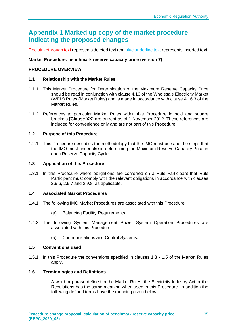# **Appendix 1 Marked up copy of the market procedure indicating the proposed changes**

Red strikethrough text represents deleted text and blue underline text represents inserted text.

### **Market Procedure: benchmark reserve capacity price (version 7)**

#### **PROCEDURE OVERVIEW**

#### **1.1 Relationship with the Market Rules**

- 1.1.1 This Market Procedure for Determination of the Maximum Reserve Capacity Price should be read in conjunction with clause 4.16 of the Wholesale Electricity Market (WEM) Rules (Market Rules) and is made in accordance with clause 4.16.3 of the Market Rules.
- 1.1.2 References to particular Market Rules within this Procedure in bold and square brackets **[Clause XX]** are current as of 1 November 2012. These references are included for convenience only and are not part of this Procedure.

#### **1.2 Purpose of this Procedure**

1.2.1 This Procedure describes the methodology that the IMO must use and the steps that the IMO must undertake in determining the Maximum Reserve Capacity Price in each Reserve Capacity Cycle.

#### **1.3 Application of this Procedure**

1.3.1 In this Procedure where obligations are conferred on a Rule Participant that Rule Participant must comply with the relevant obligations in accordance with clauses 2.9.6, 2.9.7 and 2.9.8, as applicable.

#### **1.4 Associated Market Procedures**

- 1.4.1 The following IMO Market Procedures are associated with this Procedure:
	- (a) Balancing Facility Requirements.
- 1.4.2 The following System Management Power System Operation Procedures are associated with this Procedure:
	- (a) Communications and Control Systems.

#### **1.5 Conventions used**

1.5.1 In this Procedure the conventions specified in clauses 1.3 - 1.5 of the Market Rules apply.

### **1.6 Terminologies and Definitions**

A word or phrase defined in the Market Rules, the Electricity Industry Act or the Regulations has the same meaning when used in this Procedure. In addition the following defined terms have the meaning given below.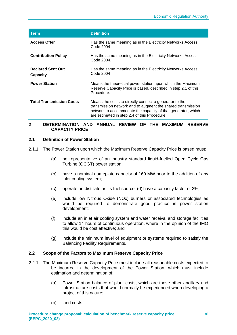| Term                                 | <b>Definition</b>                                                                                                                                                                                                                    |
|--------------------------------------|--------------------------------------------------------------------------------------------------------------------------------------------------------------------------------------------------------------------------------------|
| <b>Access Offer</b>                  | Has the same meaning as in the Electricity Networks Access<br>Code 2004                                                                                                                                                              |
| <b>Contribution Policy</b>           | Has the same meaning as in the Electricity Networks Access<br>Code 2004.                                                                                                                                                             |
| <b>Declared Sent Out</b><br>Capacity | Has the same meaning as in the Electricity Networks Access<br>Code 2004                                                                                                                                                              |
| <b>Power Station</b>                 | Means the theoretical power station upon which the Maximum<br>Reserve Capacity Price is based, described in step 2.1 of this<br>Procedure.                                                                                           |
| <b>Total Transmission Costs</b>      | Means the costs to directly connect a generator to the<br>transmission network and to augment the shared transmission<br>network to accommodate the capacity of that generator, which<br>are estimated in step 2.4 of this Procedure |

#### **2 DETERMINATION AND ANNUAL REVIEW OF THE MAXIMUM RESERVE CAPACITY PRICE**

### **2.1 Definition of Power Station**

- 2.1.1 The Power Station upon which the Maximum Reserve Capacity Price is based must:
	- (a) be representative of an industry standard liquid-fuelled Open Cycle Gas Turbine (OCGT) power station;
	- (b) have a nominal nameplate capacity of 160 MW prior to the addition of any inlet cooling system;
	- (c) operate on distillate as its fuel source; (d) have a capacity factor of 2%;
	- (e) include low Nitrous Oxide (NOx) burners or associated technologies as would be required to demonstrate good practice in power station development;
	- (f) include an inlet air cooling system and water receival and storage facilities to allow 14 hours of continuous operation, where in the opinion of the IMO this would be cost effective; and
	- (g) include the minimum level of equipment or systems required to satisfy the Balancing Facility Requirements.

#### **2.2 Scope of the Factors to Maximum Reserve Capacity Price**

- 2.2.1 The Maximum Reserve Capacity Price must include all reasonable costs expected to be incurred in the development of the Power Station, which must include estimation and determination of:
	- (a) Power Station balance of plant costs, which are those other ancillary and infrastructure costs that would normally be experienced when developing a project of this nature;
	- (b) land costs;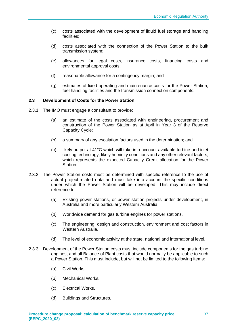- (c) costs associated with the development of liquid fuel storage and handling facilities;
- (d) costs associated with the connection of the Power Station to the bulk transmission system;
- (e) allowances for legal costs, insurance costs, financing costs and environmental approval costs;
- (f) reasonable allowance for a contingency margin; and
- (g) estimates of fixed operating and maintenance costs for the Power Station, fuel handling facilities and the transmission connection components.

#### **2.3 Development of Costs for the Power Station**

- 2.3.1 The IMO must engage a consultant to provide:
	- (a) an estimate of the costs associated with engineering, procurement and construction of the Power Station as at April in Year 3 of the Reserve Capacity Cycle;
	- (b) a summary of any escalation factors used in the determination; and
	- (c) likely output at 41°C which will take into account available turbine and inlet cooling technology, likely humidity conditions and any other relevant factors, which represents the expected Capacity Credit allocation for the Power Station.
- 2.3.2 The Power Station costs must be determined with specific reference to the use of actual project-related data and must take into account the specific conditions under which the Power Station will be developed. This may include direct reference to:
	- (a) Existing power stations, or power station projects under development, in Australia and more particularly Western Australia.
	- (b) Worldwide demand for gas turbine engines for power stations.
	- (c) The engineering, design and construction, environment and cost factors in Western Australia.
	- (d) The level of economic activity at the state, national and international level.
- 2.3.3 Development of the Power Station costs must include components for the gas turbine engines, and all Balance of Plant costs that would normally be applicable to such a Power Station. This must include, but will not be limited to the following items:
	- (a) Civil Works.
	- (b) Mechanical Works.
	- (c) Electrical Works.
	- (d) Buildings and Structures.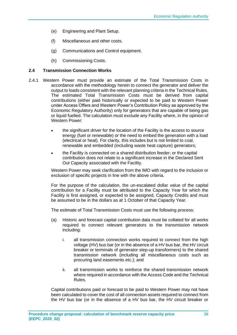- (e) Engineering and Plant Setup.
- (f) Miscellaneous and other costs.
- (g) Communications and Control equipment.
- (h) Commissioning Costs.

#### **2.4 Transmission Connection Works**

- 2.4.1 Western Power must provide an estimate of the Total Transmission Costs in accordance with the methodology herein to connect the generator and deliver the output to loads consistent with the relevant planning criteria in the Technical Rules. The estimated Total Transmission Costs must be derived from capital contributions (either paid historically or expected to be paid to Western Power under Access Offers and Western Power's Contribution Policy as approved by the Economic Regulatory Authority) only for generators that are capable of being gas or liquid fuelled. The calculation must exclude any Facility where, in the opinion of Western Power:
	- the significant driver for the location of the Facility is the access to source energy (fuel or renewable) or the need to embed the generation with a load (electrical or heat). For clarity, this includes but is not limited to coal, renewable and embedded (including waste heat capture) generators;
	- the Facility is connected on a shared distribution feeder; or the capital contribution does not relate to a significant increase in the Declared Sent Out Capacity associated with the Facility.

Western Power may seek clarification from the IMO with regard to the inclusion or exclusion of specific projects in line with the above criteria.

For the purpose of the calculation, the un-escalated dollar value of the capital contribution for a Facility must be attributed to the Capacity Year for which the Facility is first assigned, or expected to be assigned, Capacity Credits and must be assumed to be in the dollars as at 1 October of that Capacity Year.

The estimate of Total Transmission Costs must use the following process:

- (a) Historic and forecast capital contribution data must be collated for all works required to connect relevant generators to the transmission network including:
	- i. all transmission connection works required to connect from the high voltage (HV) bus bar (or in the absence of a HV bus bar, the HV circuit breaker or terminals of generator step-up transformers) to the shared transmission network (including all miscellaneous costs such as procuring land easements etc.); and
	- ii. all transmission works to reinforce the shared transmission network where required in accordance with the Access Code and the Technical Rules.

Capital contributions paid or forecast to be paid to Western Power may not have been calculated to cover the cost of all connection assets required to connect from the HV bus bar (or in the absence of a HV bus bar, the HV circuit breaker or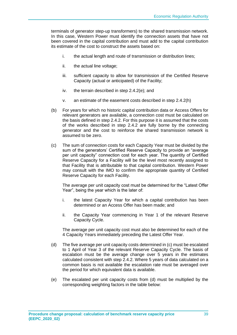terminals of generator step-up transformers) to the shared transmission network. In this case, Western Power must identify the connection assets that have not been covered in the capital contribution and must add to the capital contribution its estimate of the cost to construct the assets based on:

- i. the actual length and route of transmission or distribution lines;
- ii. the actual line voltage;
- iii. sufficient capacity to allow for transmission of the Certified Reserve Capacity (actual or anticipated) of the Facility;
- iv. the terrain described in step 2.4.2(e); and
- v. an estimate of the easement costs described in step 2.4.2(h)
- (b) For years for which no historic capital contribution data or Access Offers for relevant generators are available, a connection cost must be calculated on the basis defined in step 2.4.2. For this purpose it is assumed that the costs of the works described in step 2.4.2 are fully borne by the connecting generator and the cost to reinforce the shared transmission network is assumed to be zero.
- (c) The sum of connection costs for each Capacity Year must be divided by the sum of the generators' Certified Reserve Capacity to provide an "average per unit capacity" connection cost for each year. The quantity of Certified Reserve Capacity for a Facility will be the level most recently assigned to that Facility that is attributable to that capital contribution. Western Power may consult with the IMO to confirm the appropriate quantity of Certified Reserve Capacity for each Facility.

The average per unit capacity cost must be determined for the "Latest Offer Year", being the year which is the later of:

- i. the latest Capacity Year for which a capital contribution has been determined or an Access Offer has been made; and
- ii. the Capacity Year commencing in Year 1 of the relevant Reserve Capacity Cycle.

The average per unit capacity cost must also be determined for each of the 4 Capacity Years immediately preceding the Latest Offer Year.

- (d) The five average per unit capacity costs determined in (c) must be escalated to 1 April of Year 3 of the relevant Reserve Capacity Cycle. The basis of escalation must be the average change over 5 years in the estimates calculated consistent with step 2.4.2. Where 5 years of data calculated on a common basis is not available the escalation rate must be averaged over the period for which equivalent data is available.
- (e) The escalated per unit capacity costs from (d) must be multiplied by the corresponding weighting factors in the table below: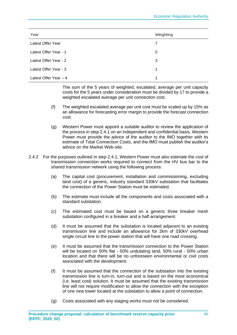| Year                   | Weighting |
|------------------------|-----------|
| Latest Offer Year      | 7         |
| Latest Offer Year - 1  | 5         |
| Latest Offer Year - 2  | 3         |
| Latest Offer Year - 3  | 1         |
| Latest Offer Year $-4$ | 1         |

The sum of the 5 years of weighted, escalated, average per unit capacity costs for the 5 years under consideration must be divided by 17 to provide a weighted escalated average per unit connection cost.

- (f) The weighted escalated average per unit cost must be scaled up by 15% as an allowance for forecasting error margin to provide the forecast connection cost.
- (g) Western Power must appoint a suitable auditor to review the application of the process in step 2.4.1 on an independent and confidential basis. Western Power must provide the advice of the auditor to the IMO together with its estimate of Total Connection Costs, and the IMO must publish the auditor's advice on the Market Web-site.
- 2.4.2 For the purposes outlined in step 2.4.1, Western Power must also estimate the cost of transmission connection works required to connect from the HV bus bar to the shared transmission network using the following process:
	- (a) The capital cost (procurement, installation and commissioning, excluding land cost) of a generic, industry standard 330kV substation that facilitates the connection of the Power Station must be estimated.
	- (b) The estimate must include all the components and costs associated with a standard substation.
	- (c) The estimated cost must be based on a generic three breaker mesh substation configured in a breaker and a half arrangement.
	- (d) It must be assumed that the substation is located adjacent to an existing transmission line and include an allowance for 2km of 330kV overhead single circuit line to the power station that will have one road crossing.
	- (e) It must be assumed that the transmission connection to the Power Station will be located on 50% flat - 50% undulating land, 50% rural - 50% urban location and that there will be no unforeseen environmental or civil costs associated with the development.
	- (f) It must be assumed that the connection of the substation into the existing transmission line is turn-in, turn-out and is based on the most economical (i.e. least cost) solution. It must be assumed that the existing transmission line will not require modification to allow the connection with the exception of one new tower located at the substation to allow a point of connection.
	- (g) Costs associated with any staging works must not be considered.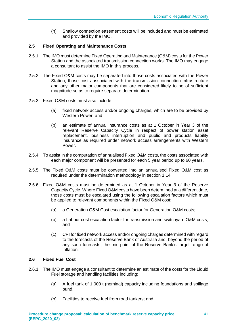(h) Shallow connection easement costs will be included and must be estimated and provided by the IMO.

### **2.5 Fixed Operating and Maintenance Costs**

- 2.5.1 The IMO must determine Fixed Operating and Maintenance (O&M) costs for the Power Station and the associated transmission connection works. The IMO may engage a consultant to assist the IMO in this process.
- 2.5.2 The Fixed O&M costs may be separated into those costs associated with the Power Station, those costs associated with the transmission connection infrastructure and any other major components that are considered likely to be of sufficient magnitude so as to require separate determination.
- 2.5.3 Fixed O&M costs must also include:
	- (a) fixed network access and/or ongoing charges, which are to be provided by Western Power; and
	- (b) an estimate of annual insurance costs as at 1 October in Year 3 of the relevant Reserve Capacity Cycle in respect of power station asset replacement, business interruption and public and products liability insurance as required under network access arrangements with Western Power.
- 2.5.4 To assist in the computation of annualised Fixed O&M costs, the costs associated with each major component will be presented for each 5 year period up to 60 years.
- 2.5.5 The Fixed O&M costs must be converted into an annualised Fixed O&M cost as required under the determination methodology in section 1.14.
- 2.5.6 Fixed O&M costs must be determined as at 1 October in Year 3 of the Reserve Capacity Cycle. Where Fixed O&M costs have been determined at a different date, those costs must be escalated using the following escalation factors which must be applied to relevant components within the Fixed O&M cost:
	- (a) a Generation O&M Cost escalation factor for Generation O&M costs;
	- (b) a Labour cost escalation factor for transmission and switchyard O&M costs; and
	- (c) CPI for fixed network access and/or ongoing charges determined with regard to the forecasts of the Reserve Bank of Australia and, beyond the period of any such forecasts, the mid-point of the Reserve Bank's target range of inflation.

#### **2.6 Fixed Fuel Cost**

- 2.6.1 The IMO must engage a consultant to determine an estimate of the costs for the Liquid Fuel storage and handling facilities including:
	- (a) A fuel tank of 1,000 t (nominal) capacity including foundations and spillage bund.
	- (b) Facilities to receive fuel from road tankers; and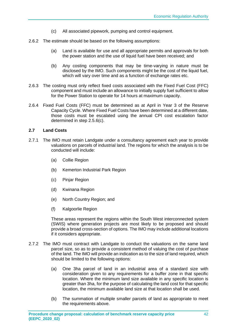- (c) All associated pipework, pumping and control equipment.
- 2.6.2 The estimate should be based on the following assumptions:
	- (a) Land is available for use and all appropriate permits and approvals for both the power station and the use of liquid fuel have been received; and
	- (b) Any costing components that may be time-varying in nature must be disclosed by the IMO. Such components might be the cost of the liquid fuel, which will vary over time and as a function of exchange rates etc.
- 2.6.3 The costing must only reflect fixed costs associated with the Fixed Fuel Cost (FFC) component and must include an allowance to initially supply fuel sufficient to allow for the Power Station to operate for 14 hours at maximum capacity.
- 2.6.4 Fixed Fuel Costs (FFC) must be determined as at April in Year 3 of the Reserve Capacity Cycle. Where Fixed Fuel Costs have been determined at a different date, those costs must be escalated using the annual CPI cost escalation factor determined in step 2.5.6(c).

#### **2.7 Land Costs**

- 2.7.1 The IMO must retain Landgate under a consultancy agreement each year to provide valuations on parcels of industrial land. The regions for which the analysis is to be conducted will include:
	- (a) Collie Region
	- (b) Kemerton Industrial Park Region
	- (c) Pinjar Region
	- (d) Kwinana Region
	- (e) North Country Region; and
	- (f) Kalgoorlie Region

These areas represent the regions within the South West interconnected system (SWIS) where generation projects are most likely to be proposed and should provide a broad cross-section of options. The IMO may include additional locations if it considers appropriate.

- 2.7.2 The IMO must contract with Landgate to conduct the valuations on the same land parcel size, so as to provide a consistent method of valuing the cost of purchase of the land. The IMO will provide an indication as to the size of land required, which should be limited to the following options:
	- (a) One 3ha parcel of land in an industrial area of a standard size with consideration given to any requirements for a buffer zone in that specific location. Where the minimum land size available in any specific location is greater than 3ha, for the purpose of calculating the land cost for that specific location, the minimum available land size at that location shall be used.
	- (b) The summation of multiple smaller parcels of land as appropriate to meet the requirements above.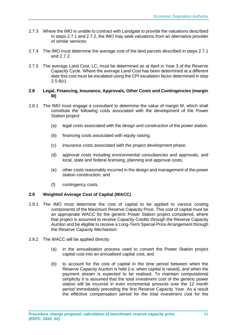- 2.7.3 Where the IMO is unable to contract with Landgate to provide the valuations described in steps 2.7.1 and 2.7.2, the IMO may seek valuations from an alternative provider of similar services.
- 2.7.4 The IMO must determine the average cost of the land parcels described in steps 2.7.1 and 2.7.2.
- 2.7.5 The average Land Cost, LC, must be determined as at April in Year 3 of the Reserve Capacity Cycle. Where the average Land Cost has been determined at a different date this cost must be escalated using the CPI escalation factor determined in step  $2.5.6(c)$ .

#### **2.8 Legal, Financing, Insurance, Approvals, Other Costs and Contingencies (margin M)**

- 2.8.1 The IMO must engage a consultant to determine the value of margin M, which shall constitute the following costs associated with the development of the Power Station project:
	- (a) legal costs associated with the design and construction of the power station.
	- (b) financing costs associated with equity raising.
	- (c) insurance costs associated with the project development phase;
	- (d) approval costs including environmental consultancies and approvals, and local, state and federal licensing, planning and approval costs;
	- (e) other costs reasonably incurred in the design and management of the power station construction; and
	- (f) contingency costs.

#### **2.9 Weighted Average Cost of Capital (WACC)**

- 2.9.1 The IMO must determine the cost of capital to be applied to various costing components of the Maximum Reserve Capacity Price. This cost of capital must be an appropriate WACC for the generic Power Station project considered, where that project is assumed to receive Capacity Credits through the Reserve Capacity Auction and be eligible to receive a Long-Term Special Price Arrangement through the Reserve Capacity Mechanism.
- 2.9.2 The WACC will be applied directly:
	- (a) in the annualisation process used to convert the Power Station project capital cost into an annualised capital cost; and
	- (b) to account for the cost of capital in the time period between when the Reserve Capacity Auction is held (i.e. when capital is raised), and when the payment stream is expected to be realised. To maintain computational simplicity it is assumed that the total investment cost of the generic power station will be incurred in even incremental amounts over the 12 month period immediately preceding the first Reserve Capacity Year. As a result the effective compensation period for the total investment cost for the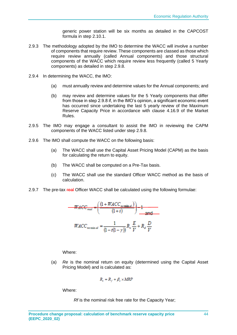generic power station will be six months as detailed in the CAPCOST formula in step 2.10.1.

- 2.9.3 The methodology adopted by the IMO to determine the WACC will involve a number of components that require review. These components are classed as those which require review annually (called Annual components) and those structural components of the WACC which require review less frequently (called 5 Yearly components) as detailed in step 2.9.8.
- 2.9.4 In determining the WACC, the IMO:
	- (a) must annually review and determine values for the Annual components; and
	- (b) may review and determine values for the 5 Yearly components that differ from those in step 2.9.8 if, in the IMO's opinion, a significant economic event has occurred since undertaking the last 5 yearly review of the Maximum Reserve Capacity Price in accordance with clause 4.16.9 of the Market Rules.
- 2.9.5 The IMO may engage a consultant to assist the IMO in reviewing the CAPM components of the WACC listed under step 2.9.8.
- 2.9.6 The IMO shall compute the WACC on the following basis:
	- (a) The WACC shall use the Capital Asset Pricing Model (CAPM) as the basis for calculating the return to equity.
	- (b) The WACC shall be computed on a Pre-Tax basis.
	- (c) The WACC shall use the standard Officer WACC method as the basis of calculation.
- 2.9.7 The pre-tax real Officer WACC shall be calculated using the following formulae:

$$
\frac{WACC_{real} = \left(\frac{(1 + WACC_{normal})}{(1 + i)}\right) - 1}{WACC_{normal}} = \frac{1}{(1 - t(1 - \gamma))} R_e \frac{E}{V} + R_d \frac{D}{V}
$$

Where:

(a) *Re* is the nominal return on equity (determined using the Capital Asset Pricing Model) and is calculated as:

$$
R_e = R_f + \beta_e \times MRP
$$

Where:

*Rf* is the nominal risk free rate for the Capacity Year;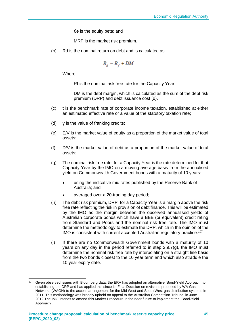*βe* is the equity beta; and

MRP is the market risk premium.

(b) Rd is the nominal return on debt and is calculated as:

$$
R_d = R_f + DM
$$

Where:

Rf is the nominal risk free rate for the Capacity Year;

DM is the debt margin, which is calculated as the sum of the debt risk premium (DRP) and debt issuance cost (d).

- (c) t is the benchmark rate of corporate income taxation, established at either an estimated effective rate or a value of the statutory taxation rate;
- (d) γ is the value of franking credits;
- (e) E/V is the market value of equity as a proportion of the market value of total assets;
- (f) D/V is the market value of debt as a proportion of the market value of total assets;
- (g) The nominal risk free rate, for a Capacity Year is the rate determined for that Capacity Year by the IMO on a moving average basis from the annualised yield on Commonwealth Government bonds with a maturity of 10 years:
	- using the indicative mid rates published by the Reserve Bank of Australia; and
	- averaged over a 20-trading day period;
- (h) The debt risk premium, DRP, for a Capacity Year is a margin above the risk free rate reflecting the risk in provision of debt finance. This will be estimated by the IMO as the margin between the observed annualised yields of Australian corporate bonds which have a BBB (or equivalent) credit rating from Standard and Poors and the nominal risk free rate. The IMO must determine the methodology to estimate the DRP, which in the opinion of the IMO is consistent with current accepted Australian regulatory practice.<sup>107</sup>
- (i) If there are no Commonwealth Government bonds with a maturity of 10 years on any day in the period referred to in step  $2.9.7(q)$ , the IMO must determine the nominal risk free rate by interpolating on a straight line basis from the two bonds closest to the 10 year term and which also straddle the 10 year expiry date.

<sup>107</sup> Given observed issues with Bloomberg data, the ERA has adopted an alternative 'Bond-Yield Approach' to establishing the DRP and has applied this since its Final Decision on revisions proposed by WA Gas Networks (WAGN) to the access arrangement for the Mid West and South West gas distribution systems in 2011. This methodology was broadly upheld on appeal to the Australian Competition Tribunal in June 2012.The IMO intends to amend this Market Procedure in the near future to implement the 'Bond-Yield Approach'.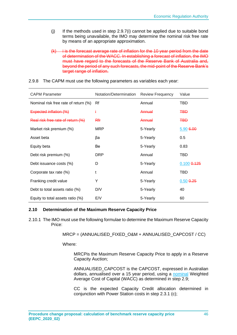- (j) If the methods used in step 2.9.7(i) cannot be applied due to suitable bond terms being unavailable, the IMO may determine the nominal risk free rate by means of an appropriate approximation.
- $(k)$  is the forecast average rate of inflation for the 10 year period from the date of determination of the WACC. In establishing a forecast of inflation, the IMO must have regard to the forecasts of the Reserve Bank of Australia and, beyond the period of any such forecasts, the mid-point of the Reserve Bank's target range of inflation.

| <b>CAPM Parameter</b>                | Notation/Determination | <b>Review Frequency</b> | Value           |
|--------------------------------------|------------------------|-------------------------|-----------------|
| Nominal risk free rate of return (%) | Rf                     | Annual                  | <b>TBD</b>      |
| Expected inflation (%)               | ŧ                      | Annual                  | <b>TBD</b>      |
| Real risk free rate of return (%)    | <b>Rfr</b>             | Annual                  | <b>TBD</b>      |
| Market risk premium (%)              | MRP                    | 5-Yearly                | 5.90 6.00       |
| Asset beta                           | βa                     | 5-Yearly                | 0.5             |
| Equity beta                          | Be                     | 5-Yearly                | 0.83            |
| Debt risk premium (%)                | <b>DRP</b>             | Annual                  | <b>TBD</b>      |
| Debt issuance costs (%)              | D                      | 5-Yearly                | $0.100$ $0.125$ |
| Corporate tax rate (%)               | t                      | Annual                  | <b>TBD</b>      |
| Franking credit value                | Y                      | 5-Yearly                | $0.50$ $0.25$   |
| Debt to total assets ratio (%)       | D/V                    | 5-Yearly                | 40              |
| Equity to total assets ratio (%)     | E/V                    | 5-Yearly                | 60              |

#### 2.9.8 The CAPM must use the following parameters as variables each year:

#### **2.10 Determination of the Maximum Reserve Capacity Price**

2.10.1 The IMO must use the following formulae to determine the Maximum Reserve Capacity Price:

MRCP = (ANNUALISED\_FIXED\_O&M + ANNUALISED\_CAPCOST / CC)

Where:

MRCPis the Maximum Reserve Capacity Price to apply in a Reserve Capacity Auction;

ANNUALISED\_CAPCOST is the CAPCOST, expressed in Australian dollars, annualised over a 15 year period, using a nominal Weighted Average Cost of Capital (WACC) as determined in step 2.9;

CC is the expected Capacity Credit allocation determined in conjunction with Power Station costs in step 2.3.1 (c);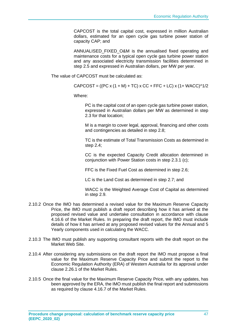CAPCOST is the total capital cost, expressed in million Australian dollars, estimated for an open cycle gas turbine power station of capacity CAP; and

ANNUALISED FIXED O&M is the annualised fixed operating and maintenance costs for a typical open cycle gas turbine power station and any associated electricity transmission facilities determined in step 2.5 and expressed in Australian dollars, per MW per year.

The value of CAPCOST must be calculated as:

 $CAPCOST = ((PC x (1 + M) + TC) x CC + FFC + LC) x (1 + WACC)^{1/2}$ 

Where:

PC is the capital cost of an open cycle gas turbine power station, expressed in Australian dollars per MW as determined in step 2.3 for that location;

M is a margin to cover legal, approval, financing and other costs and contingencies as detailed in step 2.8;

TC is the estimate of Total Transmission Costs as determined in step 2.4;

CC is the expected Capacity Credit allocation determined in conjunction with Power Station costs in step 2.3.1 (c);

FFC is the Fixed Fuel Cost as determined in step 2.6;

LC is the Land Cost as determined in step 2.7; and

WACC is the Weighted Average Cost of Capital as determined in step 2.9.

- 2.10.2 Once the IMO has determined a revised value for the Maximum Reserve Capacity Price, the IMO must publish a draft report describing how it has arrived at the proposed revised value and undertake consultation in accordance with clause 4.16.6 of the Market Rules. In preparing the draft report, the IMO must include details of how it has arrived at any proposed revised values for the Annual and 5 Yearly components used in calculating the WACC.
- 2.10.3 The IMO must publish any supporting consultant reports with the draft report on the Market Web Site.
- 2.10.4 After considering any submissions on the draft report the IMO must propose a final value for the Maximum Reserve Capacity Price and submit the report to the Economic Regulation Authority (ERA) of Western Australia for its approval under clause 2.26.1 of the Market Rules.
- 2.10.5 Once the final value for the Maximum Reserve Capacity Price, with any updates, has been approved by the ERA, the IMO must publish the final report and submissions as required by clause 4.16.7 of the Market Rules.